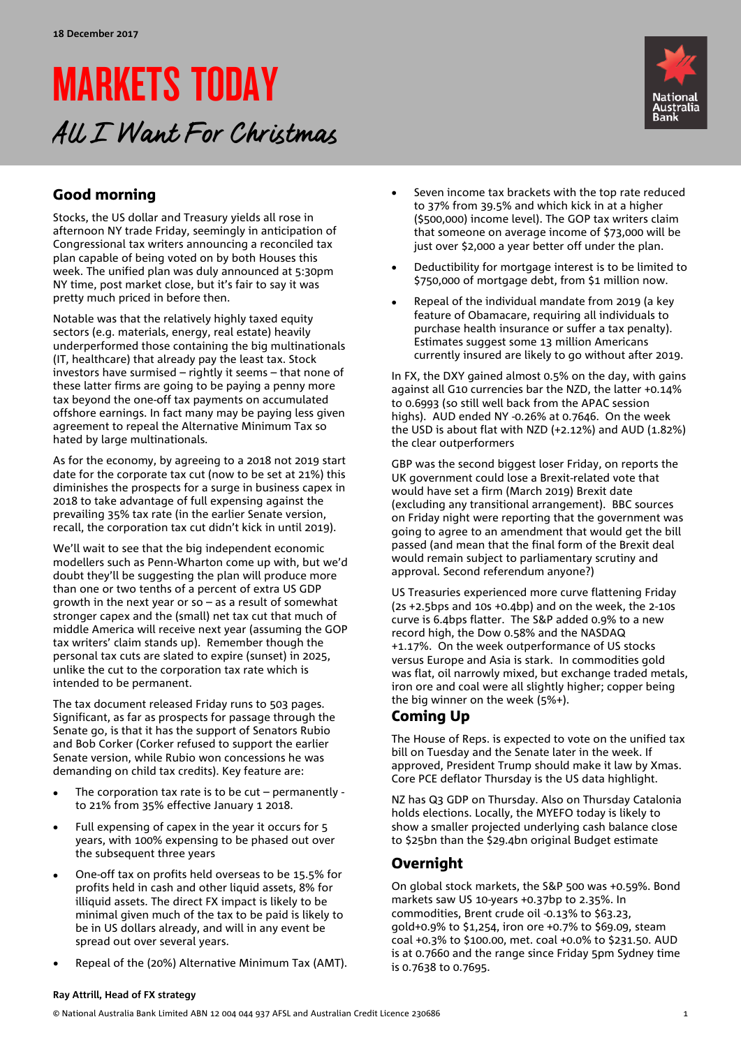# MARKETS TODAY All I Want For Christmas



## Good morning

Stocks, the US dollar and Treasury yields all rose in afternoon NY trade Friday, seemingly in anticipation of Congressional tax writers announcing a reconciled tax plan capable of being voted on by both Houses this week. The unified plan was duly announced at 5:30pm NY time, post market close, but it's fair to say it was pretty much priced in before then.

Notable was that the relatively highly taxed equity sectors (e.g. materials, energy, real estate) heavily underperformed those containing the big multinationals (IT, healthcare) that already pay the least tax. Stock investors have surmised – rightly it seems – that none of these latter firms are going to be paying a penny more tax beyond the one-off tax payments on accumulated offshore earnings. In fact many may be paying less given agreement to repeal the Alternative Minimum Tax so hated by large multinationals.

As for the economy, by agreeing to a 2018 not 2019 start date for the corporate tax cut (now to be set at 21%) this diminishes the prospects for a surge in business capex in 2018 to take advantage of full expensing against the prevailing 35% tax rate (in the earlier Senate version, recall, the corporation tax cut didn't kick in until 2019).

We'll wait to see that the big independent economic modellers such as Penn-Wharton come up with, but we'd doubt they'll be suggesting the plan will produce more than one or two tenths of a percent of extra US GDP growth in the next year or so – as a result of somewhat stronger capex and the (small) net tax cut that much of middle America will receive next year (assuming the GOP tax writers' claim stands up). Remember though the personal tax cuts are slated to expire (sunset) in 2025, unlike the cut to the corporation tax rate which is intended to be permanent.

The tax document released Friday runs to 503 pages. Significant, as far as prospects for passage through the Senate go, is that it has the support of Senators Rubio and Bob Corker (Corker refused to support the earlier Senate version, while Rubio won concessions he was demanding on child tax credits). Key feature are:

- The corporation tax rate is to be  $cut$  permanently to 21% from 35% effective January 1 2018.
- Full expensing of capex in the year it occurs for 5 years, with 100% expensing to be phased out over the subsequent three years
- One-off tax on profits held overseas to be 15.5% for profits held in cash and other liquid assets, 8% for illiquid assets. The direct FX impact is likely to be minimal given much of the tax to be paid is likely to be in US dollars already, and will in any event be spread out over several years.
- Repeal of the (20%) Alternative Minimum Tax (AMT).
- Seven income tax brackets with the top rate reduced to 37% from 39.5% and which kick in at a higher (\$500,000) income level). The GOP tax writers claim that someone on average income of \$73,000 will be just over \$2,000 a year better off under the plan.
- Deductibility for mortgage interest is to be limited to \$750,000 of mortgage debt, from \$1 million now.
- Repeal of the individual mandate from 2019 (a key feature of Obamacare, requiring all individuals to purchase health insurance or suffer a tax penalty). Estimates suggest some 13 million Americans currently insured are likely to go without after 2019.

In FX, the DXY gained almost 0.5% on the day, with gains against all G10 currencies bar the NZD, the latter +0.14% to 0.6993 (so still well back from the APAC session highs). AUD ended NY -0.26% at 0.7646. On the week the USD is about flat with NZD (+2.12%) and AUD (1.82%) the clear outperformers

GBP was the second biggest loser Friday, on reports the UK government could lose a Brexit-related vote that would have set a firm (March 2019) Brexit date (excluding any transitional arrangement). BBC sources on Friday night were reporting that the government was going to agree to an amendment that would get the bill passed (and mean that the final form of the Brexit deal would remain subject to parliamentary scrutiny and approval. Second referendum anyone?)

US Treasuries experienced more curve flattening Friday (2s +2.5bps and 10s +0.4bp) and on the week, the 2-10s curve is 6.4bps flatter. The S&P added 0.9% to a new record high, the Dow 0.58% and the NASDAQ +1.17%. On the week outperformance of US stocks versus Europe and Asia is stark. In commodities gold was flat, oil narrowly mixed, but exchange traded metals, iron ore and coal were all slightly higher; copper being the big winner on the week (5%+).

### Coming Up

The House of Reps. is expected to vote on the unified tax bill on Tuesday and the Senate later in the week. If approved, President Trump should make it law by Xmas. Core PCE deflator Thursday is the US data highlight.

NZ has Q3 GDP on Thursday. Also on Thursday Catalonia holds elections. Locally, the MYEFO today is likely to show a smaller projected underlying cash balance close to \$25bn than the \$29.4bn original Budget estimate

### Overnight

On global stock markets, the S&P 500 was +0.59%. Bond markets saw US 10-years +0.37bp to 2.35%. In commodities, Brent crude oil -0.13% to \$63.23, gold+0.9% to \$1,254, iron ore +0.7% to \$69.09, steam coal +0.3% to \$100.00, met. coal +0.0% to \$231.50. AUD is at 0.7660 and the range since Friday 5pm Sydney time is 0.7638 to 0.7695.

### **Ray Attrill, Head of FX strategy**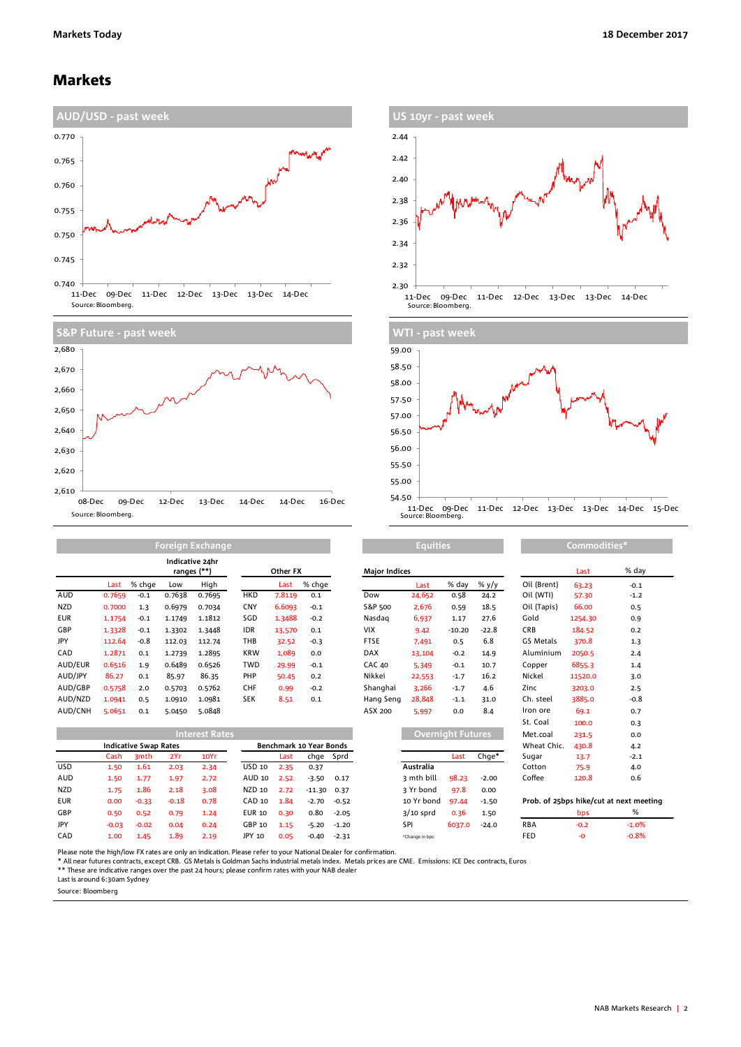### Markets









|            | Foreign Exchange |              |                                |        |            |          |        | <b>Equities</b>      |        |                |                | Commodities* |            |        |  |
|------------|------------------|--------------|--------------------------------|--------|------------|----------|--------|----------------------|--------|----------------|----------------|--------------|------------|--------|--|
|            |                  |              | Indicative 24hr<br>ranges (**) |        |            | Other FX |        | <b>Major Indices</b> |        |                |                |              | Last       | % da   |  |
|            | Last             | % chge       | Low                            | High   |            | Last     | % chge |                      | Last   | % day          | % y/y          | Oil (Brent)  | 63.23      | $-0.1$ |  |
| AUD        | 0.7659           | $-0.1$       | 0.7638                         | 0.7695 | <b>HKD</b> | 7.8119   | 0.1    | Dow                  | 24,652 | 0.58           | 24.2           | Oil (WTI)    | 57.30      | $-1.2$ |  |
| <b>NZD</b> | 0.7000           | 1.3          | 0.6979                         | 0.7034 | <b>CNY</b> | 6.6093   | $-0.1$ | S&P 500              | 2,676  | 0.59           | 18.5           | Oil (Tapis)  | 66.00      | 0.5    |  |
| <b>EUR</b> | 1.1754           | $-0.1$       | 1.1749                         | 1.1812 | SGD        | 1.3488   | $-0.2$ | Nasdag               | 6,937  | 1.17           | 27.6           | Gold         | 1254.30    | 0.9    |  |
| GBP        | 1.3328           | $-0.1$       | 1.3302                         | 1.3448 | <b>IDR</b> | 13,570   | 0.1    | <b>VIX</b>           | 9.42   | $-10.20$       | $-22.8$        | <b>CRB</b>   | 184.52     | 0.2    |  |
| JPY        | 112.64           | $-0.8$       | 112.03                         | 112.74 | THB        | 32.52    | $-0.3$ | <b>FTSE</b>          | 7,491  | 0.5            | 6.8            | GS Metals    | 370.8      | 1.3    |  |
| CAD        | 1.2871           | 0.1          | 1.2739                         | 1.2895 | <b>KRW</b> | 1,089    | 0.0    | DAX                  | 13,104 | $-0.2$         | 14.9           | Aluminium    | 2050.5     | 2.4    |  |
| AUD/EUR    | 0.6516           | 1.9          | 0.6489                         | 0.6526 | <b>TWD</b> | 29.99    | $-0.1$ | <b>CAC 40</b>        | 5.349  | $-0.1$         | 10.7           | Copper       | 6855.3     | 1.4    |  |
| AUD/JPY    | 86.27            | 0.1          | 85.97                          | 86.35  | PHP        | 50.45    | 0.2    | Nikkei               | 22,553 | $-1.7$         | 16.2           | Nickel       | 11520.0    | 3.0    |  |
| AUD/GBP    | 0.5758           | 2.0          | 0.5703                         | 0.5762 | <b>CHF</b> | 0.99     | $-0.2$ | Shanghai             | 3.266  | $-1.7$         | 4.6            | Zinc         | 3203.0     | 2.5    |  |
| AUD/NZD    | 1.0941           | 0.5          | 1.0910                         | 1.0981 | <b>SEK</b> | 8.51     | 0.1    | Hang Seng            | 28,848 | $-1.1$         | 31.0           | Ch. steel    | 3885.0     | $-0.8$ |  |
| ALID/CNH   | 5.0651           | $^{\circ}$ 1 | 5.0450                         | 50848  |            |          |        | ASX 200              | 5.007  | 0 <sub>0</sub> | 8 <sub>1</sub> | Iron ore     | <b>601</b> | 07     |  |

|            | <b>Interest Rates</b> |                              |         |      |               |      |                                |           | Overnight Futures |        |         | Met.coal    | 231.5  | 0.0                                     |
|------------|-----------------------|------------------------------|---------|------|---------------|------|--------------------------------|-----------|-------------------|--------|---------|-------------|--------|-----------------------------------------|
|            |                       | <b>Indicative Swap Rates</b> |         |      |               |      | <b>Benchmark 10 Year Bonds</b> |           |                   |        |         | Wheat Chic. | 430.8  | 4.2                                     |
|            | Cash                  | 3mth                         | 2Yr     | 10Yr |               | Last |                                | chge Sprd |                   | Last   | Chae*   | Sugar       | 13.7   | $-2.1$                                  |
| <b>USD</b> | 1.50                  | 1.61                         | 2.03    | 2.34 | USD 10        | 2.35 | 0.37                           |           | Australia         |        |         | Cotton      | 75.9   | 4.0                                     |
| AUD        | 1.50                  | 1.77                         | 1.97    | 2.72 | AUD 10        | 2.52 | $-3.50$                        | 0.17      | 3 mth bill        | 98.23  | $-2.00$ | Coffee      | 120.8  | 0.6                                     |
| <b>NZD</b> | 1.75                  | 1.86                         | 2.18    | 3.08 | NZD 10        | 2.72 | $-11.30$                       | 0.37      | 3 Yr bond         | 97.8   | 0.00    |             |        |                                         |
| <b>EUR</b> | 0.00                  | $-0.33$                      | $-0.18$ | 0.78 | CAD 10        | 1.84 | $-2.70$                        | $-0.52$   | 10 Yr bond        | 97.44  | $-1.50$ |             |        | Prob. of 25bps hike/cut at next meeting |
| GBP        | 0.50                  | 0.52                         | 0.79    | 1.24 | <b>EUR 10</b> | 0.30 | 0.80                           | $-2.05$   | $3/10$ sprd       | 0.36   | 1.50    |             | bps    | %                                       |
| JPY        | $-0.03$               | $-0.02$                      | 0.04    | 0.24 | GBP 10        | 1.15 | $-5.20$                        | $-1.20$   | SPI               | 6037.0 | $-24.0$ | <b>RBA</b>  | $-0.2$ | $-1.0%$                                 |
| CAD        | 1.00                  | 1.45                         | 1.89    | 2.19 | JPY 10        | 0.05 | $-0.40$                        | $-2.31$   | *Change in bps    |        |         | FED         | -0     | $-0.8%$                                 |

|            |         |                              |         | Indicative 24hr<br>ranges (**) |               | Other FX                |          |         | <b>Major Indices</b> |             |                          |         |                                    | Last    | % day   |
|------------|---------|------------------------------|---------|--------------------------------|---------------|-------------------------|----------|---------|----------------------|-------------|--------------------------|---------|------------------------------------|---------|---------|
|            | Last    | % chge                       | Low     | High                           |               | Last                    | % chge   |         |                      | Last        | % day                    | % y/y   | Oil (Brent)                        | 63.23   | $-0.1$  |
| AUD        | 0.7659  | $-0.1$                       | 0.7638  | 0.7695                         | <b>HKD</b>    | 7.8119                  | 0.1      |         | Dow                  | 24,652      | 0.58                     | 24.2    | Oil (WTI)                          | 57.30   | $-1.2$  |
| <b>NZD</b> | 0.7000  | 1.3                          | 0.6979  | 0.7034                         | <b>CNY</b>    | 6.6093                  | $-0.1$   |         | S&P 500              | 2,676       | 0.59                     | 18.5    | Oil (Tapis)                        | 66.00   | 0.5     |
| EUR        | 1.1754  | $-0.1$                       | 1.1749  | 1.1812                         | SGD           | 1.3488                  | $-0.2$   |         | Nasdag               | 6,937       | 1.17                     | 27.6    | Gold                               | 1254.30 | 0.9     |
| GBP        | 1.3328  | $-0.1$                       | 1.3302  | 1.3448                         | <b>IDR</b>    | 13,570                  | 0.1      |         | <b>VIX</b>           | 9.42        | $-10.20$                 | $-22.8$ | <b>CRB</b>                         | 184.52  | 0.2     |
| JPY        | 112.64  | $-0.8$                       | 112.03  | 112.74                         | THB           | 32.52                   | $-0.3$   |         | <b>FTSE</b>          | 7,491       | 0.5                      | 6.8     | GS Metals                          | 370.8   | 1.3     |
| CAD        | 1.2871  | 0.1                          | 1.2739  | 1.2895                         | <b>KRW</b>    | 1,089                   | 0.0      |         | <b>DAX</b>           | 13,104      | $-0.2$                   | 14.9    | Aluminium                          | 2050.5  | 2.4     |
| AUD/EUR    | 0.6516  | 1.9                          | 0.6489  | 0.6526                         | <b>TWD</b>    | 29.99                   | $-0.1$   |         | <b>CAC 40</b>        | 5,349       | $-0.1$                   | 10.7    | Copper                             | 6855.3  | 1.4     |
| AUD/JPY    | 86.27   | 0.1                          | 85.97   | 86.35                          | PHP           | 50.45                   | 0.2      |         | Nikkei               | 22,553      | $-1.7$                   | 16.2    | Nickel                             | 11520.0 | 3.0     |
| AUD/GBP    | 0.5758  | 2.0                          | 0.5703  | 0.5762                         | <b>CHF</b>    | 0.99                    | $-0.2$   |         | Shanghai             | 3,266       | $-1.7$                   | 4.6     | Zinc                               | 3203.0  | 2.5     |
| AUD/NZD    | 1.0941  | 0.5                          | 1.0910  | 1.0981                         | <b>SEK</b>    | 8.51                    | 0.1      |         | Hang Seng            | 28,848      | $-1.1$                   | 31.0    | Ch. steel                          | 3885.0  | $-0.8$  |
| AUD/CNH    | 5.0651  | 0.1                          | 5.0450  | 5.0848                         |               |                         |          |         | ASX 200              | 5,997       | 0.0                      | 8.4     | Iron ore                           | 69.1    | 0.7     |
|            |         |                              |         |                                |               |                         |          |         |                      |             |                          |         | St. Coal                           | 100.0   | 0.3     |
|            |         |                              |         | <b>Interest Rates</b>          |               |                         |          |         |                      |             | <b>Overnight Futures</b> |         | Met.coal                           | 231.5   | 0.0     |
|            |         | <b>Indicative Swap Rates</b> |         |                                |               | Benchmark 10 Year Bonds |          |         |                      |             |                          |         | Wheat Chic.                        | 430.8   | 4.2     |
|            | Cash    | 3mth                         | 2Yr     | 10Yr                           |               | Last                    | chge     | Sprd    |                      |             | Last                     | $Chge*$ | Sugar                              | 13.7    | $-2.1$  |
| USD        | 1.50    | 1.61                         | 2.03    | 2.34                           | <b>USD 10</b> | 2.35                    | 0.37     |         |                      | Australia   |                          |         | Cotton                             | 75.9    | 4.0     |
| AUD        | 1.50    | 1.77                         | 1.97    | 2.72                           | AUD 10        | 2.52                    | $-3.50$  | 0.17    |                      | 3 mth bill  | 98.23                    | $-2.00$ | Coffee                             | 120.8   | 0.6     |
| <b>NZD</b> | 1.75    | 1.86                         | 2.18    | 3.08                           | <b>NZD 10</b> | 2.72                    | $-11.30$ | 0.37    |                      | 3 Yr bond   | 97.8                     | 0.00    |                                    |         |         |
| <b>EUR</b> | 0.00    | $-0.33$                      | $-0.18$ | 0.78                           | <b>CAD 10</b> | 1.84                    | $-2.70$  | $-0.52$ |                      | 10 Yr bond  | 97.44                    | $-1.50$ | Prob. of 25bps hike/cut at next me |         |         |
| GBP        | 0.50    | 0.52                         | 0.79    | 1.24                           | <b>EUR 10</b> | 0.30                    | 0.80     | $-2.05$ |                      | $3/10$ sprd | 0.36                     | 1.50    |                                    | bps     | %       |
| JPY        | $-0.03$ | $-0.02$                      | 0.04    | 0.24                           | GBP 10        | 1.15                    | $-5.20$  | $-1.20$ |                      | SPI         | 6037.0                   | $-24.0$ | <b>RBA</b>                         | $-0.2$  | $-1.0%$ |

| Commodities*                            |         |        |  |  |  |  |  |  |
|-----------------------------------------|---------|--------|--|--|--|--|--|--|
|                                         | Last    | % day  |  |  |  |  |  |  |
| Oil (Brent)                             | 63.23   | $-0.1$ |  |  |  |  |  |  |
| Oil (WTI)                               | 57.30   | $-1.2$ |  |  |  |  |  |  |
| Oil (Tapis)                             | 66.00   | 0.5    |  |  |  |  |  |  |
| Gold                                    | 1254.30 | 0.9    |  |  |  |  |  |  |
| <b>CRB</b>                              | 184.52  | 0.2    |  |  |  |  |  |  |
| GS Metals                               | 370.8   | 1.3    |  |  |  |  |  |  |
| Aluminium                               | 2050.5  | 2.4    |  |  |  |  |  |  |
| Copper                                  | 6855.3  | 1.4    |  |  |  |  |  |  |
| Nickel                                  | 11520.0 | 3.0    |  |  |  |  |  |  |
| Zinc                                    | 3203.0  | 2.5    |  |  |  |  |  |  |
| Ch. steel                               | 3885.0  | $-0.8$ |  |  |  |  |  |  |
| Iron ore                                | 69.1    | 0.7    |  |  |  |  |  |  |
| St. Coal                                | 100.0   | 0.3    |  |  |  |  |  |  |
| Met.coal                                | 231.5   | 0.0    |  |  |  |  |  |  |
| Wheat Chic.                             | 430.8   | 4.2    |  |  |  |  |  |  |
| Sugar                                   | 13.7    | $-2.1$ |  |  |  |  |  |  |
| Cotton                                  | 75.9    | 4.0    |  |  |  |  |  |  |
| Coffee                                  | 120.8   | 0.6    |  |  |  |  |  |  |
| Prob. of 25bps hike/cut at next meeting |         |        |  |  |  |  |  |  |

Please note the high/low FX rates are only an indication. Please refer to your National Dealer for confirmation.

\* All near futures contracts, except CRB. GS Metals is Goldman Sachs industrial metals index. Metals prices are CME. Emissions: ICE Dec contracts, Euros<br>\*\* These are indicative ranges over the past 24 hours; please confirm

Last is around 6:30am Sydney

Source: Bloomberg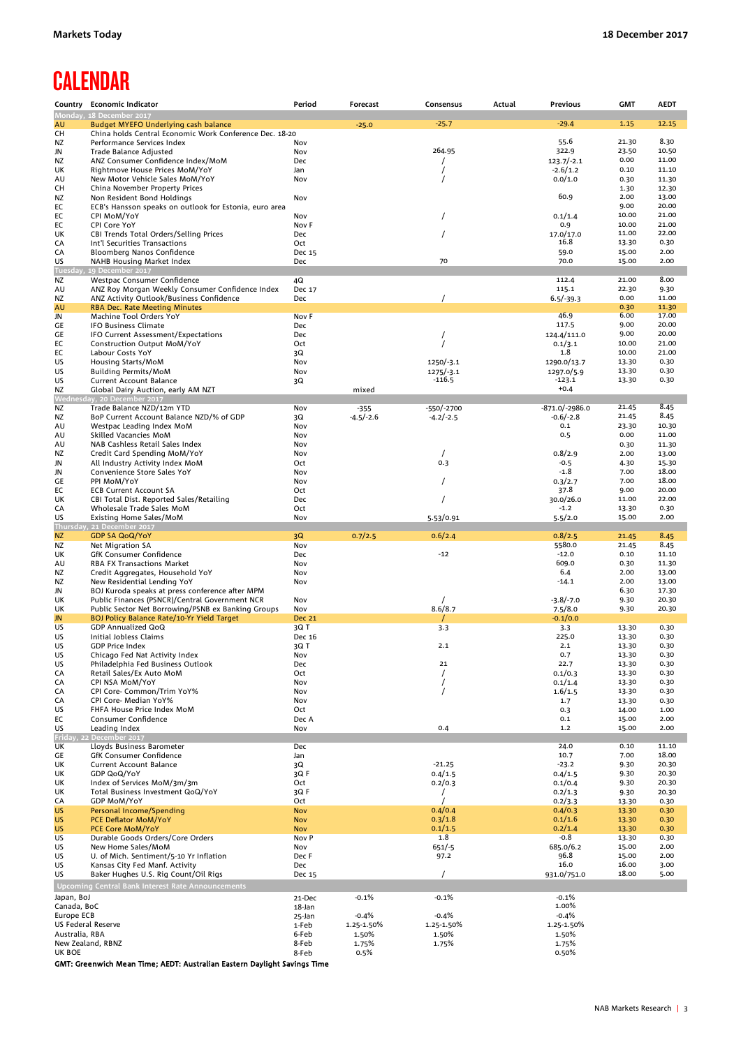# **CALENDAR**

| Monday, 18 December 2017<br>$-25.7$<br>$-29.4$<br>1.15<br>12.15<br>Budget MYEFO Underlying cash balance<br>AU<br>$-25.0$<br>China holds Central Economic Work Conference Dec. 18-20<br>CН<br>8.30<br>55.6<br>21.30<br>Performance Services Index<br>Nov<br>264.95<br>322.9<br>23.50<br>10.50<br><b>Trade Balance Adjusted</b><br>Nov<br>0.00<br>11.00<br>ANZ Consumer Confidence Index/MoM<br>Dec<br>$123.7/-2.1$<br>ΝZ<br>$-2.6/1.2$<br>0.10<br>Rightmove House Prices MoM/YoY<br>Jan<br>11.10<br>UK<br>0.0/1.0<br>0.30<br>11.30<br>New Motor Vehicle Sales MoM/YoY<br>Nov<br>AU<br>China November Property Prices<br>1.30<br>12.30<br>60.9<br>2.00<br>13.00<br>Non Resident Bond Holdings<br>Nov<br>9.00<br>20.00<br>EC<br>ECB's Hansson speaks on outlook for Estonia, euro area<br>10.00<br>21.00<br>EC<br>CPI MoM/YoY<br>Nov<br>0.1/1.4<br>0.9<br>10.00<br>21.00<br>EC<br>CPI Core YoY<br>Nov F<br>11.00<br>22.00<br>CBI Trends Total Orders/Selling Prices<br>Dec<br>17.0/17.0<br>16.8<br>13.30<br>0.30<br>Int'l Securities Transactions<br>Oct<br>59.0<br>15.00<br>2.00<br>СA<br>Bloomberg Nanos Confidence<br>Dec 15<br>70<br>70.0<br>15.00<br>2.00<br>US<br>Dec<br>NAHB Housing Market Index<br>19 December 2017<br>Tuesday<br>112.4<br>21.00<br>8.00<br>Westpac Consumer Confidence<br>4Q<br>ANZ Roy Morgan Weekly Consumer Confidence Index<br>115.1<br>22.30<br>Dec 17<br>9.30<br>0.00<br>$6.5/-39.3$<br>11.00<br>ΝZ<br>ANZ Activity Outlook/Business Confidence<br>Dec<br>AU<br><b>RBA Dec. Rate Meeting Minutes</b><br>0.30<br>11.30<br>46.9<br>6.00<br>17.00<br>Machine Tool Orders YoY<br>Nov F<br>JN<br>117.5<br>9.00<br>20.00<br>GE<br><b>IFO Business Climate</b><br>Dec<br>124.4/111.0<br>9.00<br>20.00<br>IFO Current Assessment/Expectations<br>Dec<br>10.00<br>21.00<br>Construction Output MoM/YoY<br>Oct<br>0.1/3.1<br>1.8<br>10.00<br>21.00<br>EC<br>Labour Costs YoY<br>3Q<br>0.30<br>13.30<br>US<br>Housing Starts/MoM<br>Nov<br>$1250/-3.1$<br>1290.0/13.7<br>13.30<br>0.30<br>US<br><b>Building Permits/MoM</b><br>Nov<br>$1275/-3.1$<br>1297.0/5.9<br>0.30<br>$-116.5$<br>$-123.1$<br>13.30<br>Current Account Balance<br>3Q<br>$+0.4$<br>Global Dairy Auction, early AM NZT<br>mixed<br>Wednesday, 20 December 2017<br>Trade Balance NZD/12m YTD<br>$-871.0/-2986.0$<br>21.45<br>8.45<br>ΝZ<br>Nov<br>-550/-2700<br>$-355$<br>8.45<br>21.45<br>BoP Current Account Balance NZD/% of GDP<br>$-4.2/-2.5$<br>$-0.6/-2.8$<br>ΝZ<br>3Q<br>$-4.5/-2.6$<br>Westpac Leading Index MoM<br>Nov<br>0.1<br>23.30<br>10.30<br>Skilled Vacancies MoM<br>Nov<br>0.5<br>0.00<br>11.00<br>0.30<br>11.30<br>AU<br>NAB Cashless Retail Sales Index<br>Nov<br>2.00<br>Credit Card Spending MoM/YoY<br>0.8/2.9<br>13.00<br>ΝZ<br>Nov<br>0.3<br>$-0.5$<br>All Industry Activity Index MoM<br>4.30<br>15.30<br>JN<br>Oct<br>Convenience Store Sales YoY<br>$-1.8$<br>7.00<br>18.00<br>Nov<br>PPI MoM/YoY<br>18.00<br>Nov<br>0.3/2.7<br>7.00<br>EC<br>37.8<br>20.00<br><b>ECB Current Account SA</b><br>Oct<br>9.00<br>30.0/26.0<br>UK<br>CBI Total Dist. Reported Sales/Retailing<br>Dec<br>11.00<br>22.00<br>$-1.2$<br>СA<br>Wholesale Trade Sales MoM<br>Oct<br>13.30<br>0.30<br>15.00<br>Nov<br>5.5/2.0<br>2.00<br>Existing Home Sales/MoM<br>5.53/0.91<br>Thursday, 21 December 2017<br><b>GDP SA QoQ/YoY</b><br>8.45<br>0.6/2.4<br>0.8/2.5<br><b>NZ</b><br>3Q<br>0.7/2.5<br>21.45<br>Nov<br>5580.0<br>8.45<br>Net Migration SA<br>21.45<br>ΝZ<br>$-12.0$<br>0.10<br>GfK Consumer Confidence<br>Dec<br>$-12$<br>11.10<br>UK<br>609.0<br>0.30<br>11.30<br><b>RBA FX Transactions Market</b><br>Nov<br>6.4<br>2.00<br>Credit Aggregates, Household YoY<br>Nov<br>13.00<br>2.00<br>New Residential Lending YoY<br>$-14.1$<br>13.00<br>ΝZ<br>Nov<br>BOJ Kuroda speaks at press conference after MPM<br>6.30<br>17.30<br>JN<br>UK<br>Public Finances (PSNCR)/Central Government NCR<br>Nov<br>$-3.8/-7.0$<br>9.30<br>20.30<br>8.6/8.7<br>Public Sector Net Borrowing/PSNB ex Banking Groups<br>Nov<br>7.5/8.0<br>9.30<br>20.30<br><b>BOJ Policy Balance Rate/10-Yr Yield Target</b><br><b>Dec 21</b><br>$-0.1/0.0$<br>US<br>GDP Annualized QoQ<br>3Q T<br>3.3<br>3.3<br>13.30<br>0.30<br>225.0<br>13.30<br>0.30<br>US<br>Initial Jobless Claims<br>Dec 16<br>2.1<br>13.30<br>0.30<br>US<br><b>GDP Price Index</b><br>3Q T<br>2.1<br>0.30<br>US<br>Chicago Fed Nat Activity Index<br>Nov<br>0.7<br>13.30<br>22.7<br>21<br>13.30<br>0.30<br>Philadelphia Fed Business Outlook<br>Dec<br>CA<br>$\prime$<br>0.1/0.3<br>13.30<br>0.30<br>Retail Sales/Ex Auto MoM<br>Oct<br>CPI NSA MoM/YoY<br>0.1/1.4<br>0.30<br>СA<br>Nov<br>13.30<br>CA<br>CPI Core- Common/Trim YoY%<br>Nov<br>1.6/1.5<br>13.30<br>0.30<br>0.30<br>CPI Core- Median YoY%<br>Nov<br>1.7<br>13.30<br>FHFA House Price Index MoM<br>0.3<br>14.00<br>1.00<br>Oct<br>EC<br>Consumer Confidence<br>Dec A<br>0.1<br>15.00<br>2.00<br>US<br>Leading Index<br>Nov<br>0.4<br>1.2<br>15.00<br>2.00<br>Friday, 22 December 2017<br>24.0<br>Lloyds Business Barometer<br>Dec<br>0.10<br>11.10<br>10.7<br>7.00<br>18.00<br><b>GfK Consumer Confidence</b><br>Jan<br>$-21.25$<br>$-23.2$<br><b>Current Account Balance</b><br>3Q<br>9.30<br>20.30<br>UK<br>GDP QoQ/YoY<br>3QF<br>UK<br>0.4/1.5<br>0.4/1.5<br>9.30<br>20.30<br>9.30<br>20.30<br>Index of Services MoM/3m/3m<br>Oct<br>0.2/0.3<br>0.1/0.4<br>UK<br>Total Business Investment QoQ/YoY<br>3Q F<br>0.2/1.3<br>9.30<br>20.30<br><b>GDP MoM/YoY</b><br>Oct<br>0.2/3.3<br>13.30<br>0.30<br>0.4/0.4<br>0.4/0.3<br>13.30<br>0.30<br>Personal Income/Spending<br><b>Nov</b><br>0.3/1.8<br>0.1/1.6<br><b>US</b><br>PCE Deflator MoM/YoY<br><b>Nov</b><br>13.30<br>0.30<br>0.1/1.5<br>0.2/1.4<br><b>US</b><br><b>PCE Core MoM/YoY</b><br><b>Nov</b><br>13.30<br>0.30<br>1.8<br>Durable Goods Orders/Core Orders<br>Nov P<br>$-0.8$<br>13.30<br>0.30<br>New Home Sales/MoM<br>$651/-5$<br>685.0/6.2<br>15.00<br>2.00<br>Nov<br>96.8<br>15.00<br>2.00<br>97.2<br>U. of Mich. Sentiment/5-10 Yr Inflation<br>Dec F<br>16.0<br>16.00<br>US<br>Kansas City Fed Manf. Activity<br>Dec<br>3.00<br>18.00<br>5.00<br>US<br>Baker Hughes U.S. Rig Count/Oil Rigs<br>Dec 15<br>$\prime$<br>931.0/751.0<br><b>Upcoming Central Bank Interest Rate Announcements</b><br>$-0.1%$<br>$-0.1%$<br>Japan, BoJ<br>21-Dec<br>$-0.1%$<br>1.00%<br>Canada, BoC<br>18-Jan<br>Europe ECB<br>$-0.4%$<br>$-0.4%$<br>$-0.4%$<br>25-Jan<br>US Federal Reserve<br>1-Feb<br>1.25-1.50%<br>1.25-1.50%<br>1.25-1.50%<br>Australia, RBA<br>1.50%<br>1.50%<br>1.50%<br>6-Feb<br>New Zealand, RBNZ<br>1.75%<br>1.75%<br>8-Feb<br>1.75%<br>8-Feb<br>0.5%<br>0.50% |           | Country Economic Indicator | Period | Forecast | Consensus | Actual | <b>Previous</b> | <b>GMT</b> | <b>AEDT</b> |
|------------------------------------------------------------------------------------------------------------------------------------------------------------------------------------------------------------------------------------------------------------------------------------------------------------------------------------------------------------------------------------------------------------------------------------------------------------------------------------------------------------------------------------------------------------------------------------------------------------------------------------------------------------------------------------------------------------------------------------------------------------------------------------------------------------------------------------------------------------------------------------------------------------------------------------------------------------------------------------------------------------------------------------------------------------------------------------------------------------------------------------------------------------------------------------------------------------------------------------------------------------------------------------------------------------------------------------------------------------------------------------------------------------------------------------------------------------------------------------------------------------------------------------------------------------------------------------------------------------------------------------------------------------------------------------------------------------------------------------------------------------------------------------------------------------------------------------------------------------------------------------------------------------------------------------------------------------------------------------------------------------------------------------------------------------------------------------------------------------------------------------------------------------------------------------------------------------------------------------------------------------------------------------------------------------------------------------------------------------------------------------------------------------------------------------------------------------------------------------------------------------------------------------------------------------------------------------------------------------------------------------------------------------------------------------------------------------------------------------------------------------------------------------------------------------------------------------------------------------------------------------------------------------------------------------------------------------------------------------------------------------------------------------------------------------------------------------------------------------------------------------------------------------------------------------------------------------------------------------------------------------------------------------------------------------------------------------------------------------------------------------------------------------------------------------------------------------------------------------------------------------------------------------------------------------------------------------------------------------------------------------------------------------------------------------------------------------------------------------------------------------------------------------------------------------------------------------------------------------------------------------------------------------------------------------------------------------------------------------------------------------------------------------------------------------------------------------------------------------------------------------------------------------------------------------------------------------------------------------------------------------------------------------------------------------------------------------------------------------------------------------------------------------------------------------------------------------------------------------------------------------------------------------------------------------------------------------------------------------------------------------------------------------------------------------------------------------------------------------------------------------------------------------------------------------------------------------------------------------------------------------------------------------------------------------------------------------------------------------------------------------------------------------------------------------------------------------------------------------------------------------------------------------------------------------------------------------------------------------------------------------------------------------------------------------------------------------------------------------------------------------------------------------------------------------------------------------------------------------------------------------------------------------------------------------------------------------------------------------------------------------------------------------------------------------------------------------------------------------------------------------------------------------------------------------------------------------------------------------------------------------------------------------------------------------------------------------------------------------------------------------------------------------------------------------------------------------------------------------------------------------------------------------------------------------------------------------------------------------------------------------------------------------------------------------------------------------------------------------------------------------------------------------------------------------------------------------------------------------------------------------------------------------------------------------------------------------------------------------------------------------------|-----------|----------------------------|--------|----------|-----------|--------|-----------------|------------|-------------|
|                                                                                                                                                                                                                                                                                                                                                                                                                                                                                                                                                                                                                                                                                                                                                                                                                                                                                                                                                                                                                                                                                                                                                                                                                                                                                                                                                                                                                                                                                                                                                                                                                                                                                                                                                                                                                                                                                                                                                                                                                                                                                                                                                                                                                                                                                                                                                                                                                                                                                                                                                                                                                                                                                                                                                                                                                                                                                                                                                                                                                                                                                                                                                                                                                                                                                                                                                                                                                                                                                                                                                                                                                                                                                                                                                                                                                                                                                                                                                                                                                                                                                                                                                                                                                                                                                                                                                                                                                                                                                                                                                                                                                                                                                                                                                                                                                                                                                                                                                                                                                                                                                                                                                                                                                                                                                                                                                                                                                                                                                                                                                                                                                                                                                                                                                                                                                                                                                                                                                                                                                                                                                                                                                                                                                                                                                                                                                                                                                                                                                                                                                                                                                                          |           |                            |        |          |           |        |                 |            |             |
|                                                                                                                                                                                                                                                                                                                                                                                                                                                                                                                                                                                                                                                                                                                                                                                                                                                                                                                                                                                                                                                                                                                                                                                                                                                                                                                                                                                                                                                                                                                                                                                                                                                                                                                                                                                                                                                                                                                                                                                                                                                                                                                                                                                                                                                                                                                                                                                                                                                                                                                                                                                                                                                                                                                                                                                                                                                                                                                                                                                                                                                                                                                                                                                                                                                                                                                                                                                                                                                                                                                                                                                                                                                                                                                                                                                                                                                                                                                                                                                                                                                                                                                                                                                                                                                                                                                                                                                                                                                                                                                                                                                                                                                                                                                                                                                                                                                                                                                                                                                                                                                                                                                                                                                                                                                                                                                                                                                                                                                                                                                                                                                                                                                                                                                                                                                                                                                                                                                                                                                                                                                                                                                                                                                                                                                                                                                                                                                                                                                                                                                                                                                                                                          |           |                            |        |          |           |        |                 |            |             |
|                                                                                                                                                                                                                                                                                                                                                                                                                                                                                                                                                                                                                                                                                                                                                                                                                                                                                                                                                                                                                                                                                                                                                                                                                                                                                                                                                                                                                                                                                                                                                                                                                                                                                                                                                                                                                                                                                                                                                                                                                                                                                                                                                                                                                                                                                                                                                                                                                                                                                                                                                                                                                                                                                                                                                                                                                                                                                                                                                                                                                                                                                                                                                                                                                                                                                                                                                                                                                                                                                                                                                                                                                                                                                                                                                                                                                                                                                                                                                                                                                                                                                                                                                                                                                                                                                                                                                                                                                                                                                                                                                                                                                                                                                                                                                                                                                                                                                                                                                                                                                                                                                                                                                                                                                                                                                                                                                                                                                                                                                                                                                                                                                                                                                                                                                                                                                                                                                                                                                                                                                                                                                                                                                                                                                                                                                                                                                                                                                                                                                                                                                                                                                                          | ΝZ        |                            |        |          |           |        |                 |            |             |
|                                                                                                                                                                                                                                                                                                                                                                                                                                                                                                                                                                                                                                                                                                                                                                                                                                                                                                                                                                                                                                                                                                                                                                                                                                                                                                                                                                                                                                                                                                                                                                                                                                                                                                                                                                                                                                                                                                                                                                                                                                                                                                                                                                                                                                                                                                                                                                                                                                                                                                                                                                                                                                                                                                                                                                                                                                                                                                                                                                                                                                                                                                                                                                                                                                                                                                                                                                                                                                                                                                                                                                                                                                                                                                                                                                                                                                                                                                                                                                                                                                                                                                                                                                                                                                                                                                                                                                                                                                                                                                                                                                                                                                                                                                                                                                                                                                                                                                                                                                                                                                                                                                                                                                                                                                                                                                                                                                                                                                                                                                                                                                                                                                                                                                                                                                                                                                                                                                                                                                                                                                                                                                                                                                                                                                                                                                                                                                                                                                                                                                                                                                                                                                          | JN        |                            |        |          |           |        |                 |            |             |
|                                                                                                                                                                                                                                                                                                                                                                                                                                                                                                                                                                                                                                                                                                                                                                                                                                                                                                                                                                                                                                                                                                                                                                                                                                                                                                                                                                                                                                                                                                                                                                                                                                                                                                                                                                                                                                                                                                                                                                                                                                                                                                                                                                                                                                                                                                                                                                                                                                                                                                                                                                                                                                                                                                                                                                                                                                                                                                                                                                                                                                                                                                                                                                                                                                                                                                                                                                                                                                                                                                                                                                                                                                                                                                                                                                                                                                                                                                                                                                                                                                                                                                                                                                                                                                                                                                                                                                                                                                                                                                                                                                                                                                                                                                                                                                                                                                                                                                                                                                                                                                                                                                                                                                                                                                                                                                                                                                                                                                                                                                                                                                                                                                                                                                                                                                                                                                                                                                                                                                                                                                                                                                                                                                                                                                                                                                                                                                                                                                                                                                                                                                                                                                          |           |                            |        |          |           |        |                 |            |             |
|                                                                                                                                                                                                                                                                                                                                                                                                                                                                                                                                                                                                                                                                                                                                                                                                                                                                                                                                                                                                                                                                                                                                                                                                                                                                                                                                                                                                                                                                                                                                                                                                                                                                                                                                                                                                                                                                                                                                                                                                                                                                                                                                                                                                                                                                                                                                                                                                                                                                                                                                                                                                                                                                                                                                                                                                                                                                                                                                                                                                                                                                                                                                                                                                                                                                                                                                                                                                                                                                                                                                                                                                                                                                                                                                                                                                                                                                                                                                                                                                                                                                                                                                                                                                                                                                                                                                                                                                                                                                                                                                                                                                                                                                                                                                                                                                                                                                                                                                                                                                                                                                                                                                                                                                                                                                                                                                                                                                                                                                                                                                                                                                                                                                                                                                                                                                                                                                                                                                                                                                                                                                                                                                                                                                                                                                                                                                                                                                                                                                                                                                                                                                                                          |           |                            |        |          |           |        |                 |            |             |
|                                                                                                                                                                                                                                                                                                                                                                                                                                                                                                                                                                                                                                                                                                                                                                                                                                                                                                                                                                                                                                                                                                                                                                                                                                                                                                                                                                                                                                                                                                                                                                                                                                                                                                                                                                                                                                                                                                                                                                                                                                                                                                                                                                                                                                                                                                                                                                                                                                                                                                                                                                                                                                                                                                                                                                                                                                                                                                                                                                                                                                                                                                                                                                                                                                                                                                                                                                                                                                                                                                                                                                                                                                                                                                                                                                                                                                                                                                                                                                                                                                                                                                                                                                                                                                                                                                                                                                                                                                                                                                                                                                                                                                                                                                                                                                                                                                                                                                                                                                                                                                                                                                                                                                                                                                                                                                                                                                                                                                                                                                                                                                                                                                                                                                                                                                                                                                                                                                                                                                                                                                                                                                                                                                                                                                                                                                                                                                                                                                                                                                                                                                                                                                          | CН        |                            |        |          |           |        |                 |            |             |
|                                                                                                                                                                                                                                                                                                                                                                                                                                                                                                                                                                                                                                                                                                                                                                                                                                                                                                                                                                                                                                                                                                                                                                                                                                                                                                                                                                                                                                                                                                                                                                                                                                                                                                                                                                                                                                                                                                                                                                                                                                                                                                                                                                                                                                                                                                                                                                                                                                                                                                                                                                                                                                                                                                                                                                                                                                                                                                                                                                                                                                                                                                                                                                                                                                                                                                                                                                                                                                                                                                                                                                                                                                                                                                                                                                                                                                                                                                                                                                                                                                                                                                                                                                                                                                                                                                                                                                                                                                                                                                                                                                                                                                                                                                                                                                                                                                                                                                                                                                                                                                                                                                                                                                                                                                                                                                                                                                                                                                                                                                                                                                                                                                                                                                                                                                                                                                                                                                                                                                                                                                                                                                                                                                                                                                                                                                                                                                                                                                                                                                                                                                                                                                          | NZ        |                            |        |          |           |        |                 |            |             |
|                                                                                                                                                                                                                                                                                                                                                                                                                                                                                                                                                                                                                                                                                                                                                                                                                                                                                                                                                                                                                                                                                                                                                                                                                                                                                                                                                                                                                                                                                                                                                                                                                                                                                                                                                                                                                                                                                                                                                                                                                                                                                                                                                                                                                                                                                                                                                                                                                                                                                                                                                                                                                                                                                                                                                                                                                                                                                                                                                                                                                                                                                                                                                                                                                                                                                                                                                                                                                                                                                                                                                                                                                                                                                                                                                                                                                                                                                                                                                                                                                                                                                                                                                                                                                                                                                                                                                                                                                                                                                                                                                                                                                                                                                                                                                                                                                                                                                                                                                                                                                                                                                                                                                                                                                                                                                                                                                                                                                                                                                                                                                                                                                                                                                                                                                                                                                                                                                                                                                                                                                                                                                                                                                                                                                                                                                                                                                                                                                                                                                                                                                                                                                                          |           |                            |        |          |           |        |                 |            |             |
|                                                                                                                                                                                                                                                                                                                                                                                                                                                                                                                                                                                                                                                                                                                                                                                                                                                                                                                                                                                                                                                                                                                                                                                                                                                                                                                                                                                                                                                                                                                                                                                                                                                                                                                                                                                                                                                                                                                                                                                                                                                                                                                                                                                                                                                                                                                                                                                                                                                                                                                                                                                                                                                                                                                                                                                                                                                                                                                                                                                                                                                                                                                                                                                                                                                                                                                                                                                                                                                                                                                                                                                                                                                                                                                                                                                                                                                                                                                                                                                                                                                                                                                                                                                                                                                                                                                                                                                                                                                                                                                                                                                                                                                                                                                                                                                                                                                                                                                                                                                                                                                                                                                                                                                                                                                                                                                                                                                                                                                                                                                                                                                                                                                                                                                                                                                                                                                                                                                                                                                                                                                                                                                                                                                                                                                                                                                                                                                                                                                                                                                                                                                                                                          |           |                            |        |          |           |        |                 |            |             |
|                                                                                                                                                                                                                                                                                                                                                                                                                                                                                                                                                                                                                                                                                                                                                                                                                                                                                                                                                                                                                                                                                                                                                                                                                                                                                                                                                                                                                                                                                                                                                                                                                                                                                                                                                                                                                                                                                                                                                                                                                                                                                                                                                                                                                                                                                                                                                                                                                                                                                                                                                                                                                                                                                                                                                                                                                                                                                                                                                                                                                                                                                                                                                                                                                                                                                                                                                                                                                                                                                                                                                                                                                                                                                                                                                                                                                                                                                                                                                                                                                                                                                                                                                                                                                                                                                                                                                                                                                                                                                                                                                                                                                                                                                                                                                                                                                                                                                                                                                                                                                                                                                                                                                                                                                                                                                                                                                                                                                                                                                                                                                                                                                                                                                                                                                                                                                                                                                                                                                                                                                                                                                                                                                                                                                                                                                                                                                                                                                                                                                                                                                                                                                                          | UK        |                            |        |          |           |        |                 |            |             |
|                                                                                                                                                                                                                                                                                                                                                                                                                                                                                                                                                                                                                                                                                                                                                                                                                                                                                                                                                                                                                                                                                                                                                                                                                                                                                                                                                                                                                                                                                                                                                                                                                                                                                                                                                                                                                                                                                                                                                                                                                                                                                                                                                                                                                                                                                                                                                                                                                                                                                                                                                                                                                                                                                                                                                                                                                                                                                                                                                                                                                                                                                                                                                                                                                                                                                                                                                                                                                                                                                                                                                                                                                                                                                                                                                                                                                                                                                                                                                                                                                                                                                                                                                                                                                                                                                                                                                                                                                                                                                                                                                                                                                                                                                                                                                                                                                                                                                                                                                                                                                                                                                                                                                                                                                                                                                                                                                                                                                                                                                                                                                                                                                                                                                                                                                                                                                                                                                                                                                                                                                                                                                                                                                                                                                                                                                                                                                                                                                                                                                                                                                                                                                                          | СA        |                            |        |          |           |        |                 |            |             |
|                                                                                                                                                                                                                                                                                                                                                                                                                                                                                                                                                                                                                                                                                                                                                                                                                                                                                                                                                                                                                                                                                                                                                                                                                                                                                                                                                                                                                                                                                                                                                                                                                                                                                                                                                                                                                                                                                                                                                                                                                                                                                                                                                                                                                                                                                                                                                                                                                                                                                                                                                                                                                                                                                                                                                                                                                                                                                                                                                                                                                                                                                                                                                                                                                                                                                                                                                                                                                                                                                                                                                                                                                                                                                                                                                                                                                                                                                                                                                                                                                                                                                                                                                                                                                                                                                                                                                                                                                                                                                                                                                                                                                                                                                                                                                                                                                                                                                                                                                                                                                                                                                                                                                                                                                                                                                                                                                                                                                                                                                                                                                                                                                                                                                                                                                                                                                                                                                                                                                                                                                                                                                                                                                                                                                                                                                                                                                                                                                                                                                                                                                                                                                                          |           |                            |        |          |           |        |                 |            |             |
|                                                                                                                                                                                                                                                                                                                                                                                                                                                                                                                                                                                                                                                                                                                                                                                                                                                                                                                                                                                                                                                                                                                                                                                                                                                                                                                                                                                                                                                                                                                                                                                                                                                                                                                                                                                                                                                                                                                                                                                                                                                                                                                                                                                                                                                                                                                                                                                                                                                                                                                                                                                                                                                                                                                                                                                                                                                                                                                                                                                                                                                                                                                                                                                                                                                                                                                                                                                                                                                                                                                                                                                                                                                                                                                                                                                                                                                                                                                                                                                                                                                                                                                                                                                                                                                                                                                                                                                                                                                                                                                                                                                                                                                                                                                                                                                                                                                                                                                                                                                                                                                                                                                                                                                                                                                                                                                                                                                                                                                                                                                                                                                                                                                                                                                                                                                                                                                                                                                                                                                                                                                                                                                                                                                                                                                                                                                                                                                                                                                                                                                                                                                                                                          |           |                            |        |          |           |        |                 |            |             |
|                                                                                                                                                                                                                                                                                                                                                                                                                                                                                                                                                                                                                                                                                                                                                                                                                                                                                                                                                                                                                                                                                                                                                                                                                                                                                                                                                                                                                                                                                                                                                                                                                                                                                                                                                                                                                                                                                                                                                                                                                                                                                                                                                                                                                                                                                                                                                                                                                                                                                                                                                                                                                                                                                                                                                                                                                                                                                                                                                                                                                                                                                                                                                                                                                                                                                                                                                                                                                                                                                                                                                                                                                                                                                                                                                                                                                                                                                                                                                                                                                                                                                                                                                                                                                                                                                                                                                                                                                                                                                                                                                                                                                                                                                                                                                                                                                                                                                                                                                                                                                                                                                                                                                                                                                                                                                                                                                                                                                                                                                                                                                                                                                                                                                                                                                                                                                                                                                                                                                                                                                                                                                                                                                                                                                                                                                                                                                                                                                                                                                                                                                                                                                                          | ΝZ        |                            |        |          |           |        |                 |            |             |
|                                                                                                                                                                                                                                                                                                                                                                                                                                                                                                                                                                                                                                                                                                                                                                                                                                                                                                                                                                                                                                                                                                                                                                                                                                                                                                                                                                                                                                                                                                                                                                                                                                                                                                                                                                                                                                                                                                                                                                                                                                                                                                                                                                                                                                                                                                                                                                                                                                                                                                                                                                                                                                                                                                                                                                                                                                                                                                                                                                                                                                                                                                                                                                                                                                                                                                                                                                                                                                                                                                                                                                                                                                                                                                                                                                                                                                                                                                                                                                                                                                                                                                                                                                                                                                                                                                                                                                                                                                                                                                                                                                                                                                                                                                                                                                                                                                                                                                                                                                                                                                                                                                                                                                                                                                                                                                                                                                                                                                                                                                                                                                                                                                                                                                                                                                                                                                                                                                                                                                                                                                                                                                                                                                                                                                                                                                                                                                                                                                                                                                                                                                                                                                          | AU        |                            |        |          |           |        |                 |            |             |
|                                                                                                                                                                                                                                                                                                                                                                                                                                                                                                                                                                                                                                                                                                                                                                                                                                                                                                                                                                                                                                                                                                                                                                                                                                                                                                                                                                                                                                                                                                                                                                                                                                                                                                                                                                                                                                                                                                                                                                                                                                                                                                                                                                                                                                                                                                                                                                                                                                                                                                                                                                                                                                                                                                                                                                                                                                                                                                                                                                                                                                                                                                                                                                                                                                                                                                                                                                                                                                                                                                                                                                                                                                                                                                                                                                                                                                                                                                                                                                                                                                                                                                                                                                                                                                                                                                                                                                                                                                                                                                                                                                                                                                                                                                                                                                                                                                                                                                                                                                                                                                                                                                                                                                                                                                                                                                                                                                                                                                                                                                                                                                                                                                                                                                                                                                                                                                                                                                                                                                                                                                                                                                                                                                                                                                                                                                                                                                                                                                                                                                                                                                                                                                          |           |                            |        |          |           |        |                 |            |             |
|                                                                                                                                                                                                                                                                                                                                                                                                                                                                                                                                                                                                                                                                                                                                                                                                                                                                                                                                                                                                                                                                                                                                                                                                                                                                                                                                                                                                                                                                                                                                                                                                                                                                                                                                                                                                                                                                                                                                                                                                                                                                                                                                                                                                                                                                                                                                                                                                                                                                                                                                                                                                                                                                                                                                                                                                                                                                                                                                                                                                                                                                                                                                                                                                                                                                                                                                                                                                                                                                                                                                                                                                                                                                                                                                                                                                                                                                                                                                                                                                                                                                                                                                                                                                                                                                                                                                                                                                                                                                                                                                                                                                                                                                                                                                                                                                                                                                                                                                                                                                                                                                                                                                                                                                                                                                                                                                                                                                                                                                                                                                                                                                                                                                                                                                                                                                                                                                                                                                                                                                                                                                                                                                                                                                                                                                                                                                                                                                                                                                                                                                                                                                                                          |           |                            |        |          |           |        |                 |            |             |
|                                                                                                                                                                                                                                                                                                                                                                                                                                                                                                                                                                                                                                                                                                                                                                                                                                                                                                                                                                                                                                                                                                                                                                                                                                                                                                                                                                                                                                                                                                                                                                                                                                                                                                                                                                                                                                                                                                                                                                                                                                                                                                                                                                                                                                                                                                                                                                                                                                                                                                                                                                                                                                                                                                                                                                                                                                                                                                                                                                                                                                                                                                                                                                                                                                                                                                                                                                                                                                                                                                                                                                                                                                                                                                                                                                                                                                                                                                                                                                                                                                                                                                                                                                                                                                                                                                                                                                                                                                                                                                                                                                                                                                                                                                                                                                                                                                                                                                                                                                                                                                                                                                                                                                                                                                                                                                                                                                                                                                                                                                                                                                                                                                                                                                                                                                                                                                                                                                                                                                                                                                                                                                                                                                                                                                                                                                                                                                                                                                                                                                                                                                                                                                          |           |                            |        |          |           |        |                 |            |             |
|                                                                                                                                                                                                                                                                                                                                                                                                                                                                                                                                                                                                                                                                                                                                                                                                                                                                                                                                                                                                                                                                                                                                                                                                                                                                                                                                                                                                                                                                                                                                                                                                                                                                                                                                                                                                                                                                                                                                                                                                                                                                                                                                                                                                                                                                                                                                                                                                                                                                                                                                                                                                                                                                                                                                                                                                                                                                                                                                                                                                                                                                                                                                                                                                                                                                                                                                                                                                                                                                                                                                                                                                                                                                                                                                                                                                                                                                                                                                                                                                                                                                                                                                                                                                                                                                                                                                                                                                                                                                                                                                                                                                                                                                                                                                                                                                                                                                                                                                                                                                                                                                                                                                                                                                                                                                                                                                                                                                                                                                                                                                                                                                                                                                                                                                                                                                                                                                                                                                                                                                                                                                                                                                                                                                                                                                                                                                                                                                                                                                                                                                                                                                                                          | GE        |                            |        |          |           |        |                 |            |             |
|                                                                                                                                                                                                                                                                                                                                                                                                                                                                                                                                                                                                                                                                                                                                                                                                                                                                                                                                                                                                                                                                                                                                                                                                                                                                                                                                                                                                                                                                                                                                                                                                                                                                                                                                                                                                                                                                                                                                                                                                                                                                                                                                                                                                                                                                                                                                                                                                                                                                                                                                                                                                                                                                                                                                                                                                                                                                                                                                                                                                                                                                                                                                                                                                                                                                                                                                                                                                                                                                                                                                                                                                                                                                                                                                                                                                                                                                                                                                                                                                                                                                                                                                                                                                                                                                                                                                                                                                                                                                                                                                                                                                                                                                                                                                                                                                                                                                                                                                                                                                                                                                                                                                                                                                                                                                                                                                                                                                                                                                                                                                                                                                                                                                                                                                                                                                                                                                                                                                                                                                                                                                                                                                                                                                                                                                                                                                                                                                                                                                                                                                                                                                                                          | EC        |                            |        |          |           |        |                 |            |             |
|                                                                                                                                                                                                                                                                                                                                                                                                                                                                                                                                                                                                                                                                                                                                                                                                                                                                                                                                                                                                                                                                                                                                                                                                                                                                                                                                                                                                                                                                                                                                                                                                                                                                                                                                                                                                                                                                                                                                                                                                                                                                                                                                                                                                                                                                                                                                                                                                                                                                                                                                                                                                                                                                                                                                                                                                                                                                                                                                                                                                                                                                                                                                                                                                                                                                                                                                                                                                                                                                                                                                                                                                                                                                                                                                                                                                                                                                                                                                                                                                                                                                                                                                                                                                                                                                                                                                                                                                                                                                                                                                                                                                                                                                                                                                                                                                                                                                                                                                                                                                                                                                                                                                                                                                                                                                                                                                                                                                                                                                                                                                                                                                                                                                                                                                                                                                                                                                                                                                                                                                                                                                                                                                                                                                                                                                                                                                                                                                                                                                                                                                                                                                                                          |           |                            |        |          |           |        |                 |            |             |
|                                                                                                                                                                                                                                                                                                                                                                                                                                                                                                                                                                                                                                                                                                                                                                                                                                                                                                                                                                                                                                                                                                                                                                                                                                                                                                                                                                                                                                                                                                                                                                                                                                                                                                                                                                                                                                                                                                                                                                                                                                                                                                                                                                                                                                                                                                                                                                                                                                                                                                                                                                                                                                                                                                                                                                                                                                                                                                                                                                                                                                                                                                                                                                                                                                                                                                                                                                                                                                                                                                                                                                                                                                                                                                                                                                                                                                                                                                                                                                                                                                                                                                                                                                                                                                                                                                                                                                                                                                                                                                                                                                                                                                                                                                                                                                                                                                                                                                                                                                                                                                                                                                                                                                                                                                                                                                                                                                                                                                                                                                                                                                                                                                                                                                                                                                                                                                                                                                                                                                                                                                                                                                                                                                                                                                                                                                                                                                                                                                                                                                                                                                                                                                          |           |                            |        |          |           |        |                 |            |             |
|                                                                                                                                                                                                                                                                                                                                                                                                                                                                                                                                                                                                                                                                                                                                                                                                                                                                                                                                                                                                                                                                                                                                                                                                                                                                                                                                                                                                                                                                                                                                                                                                                                                                                                                                                                                                                                                                                                                                                                                                                                                                                                                                                                                                                                                                                                                                                                                                                                                                                                                                                                                                                                                                                                                                                                                                                                                                                                                                                                                                                                                                                                                                                                                                                                                                                                                                                                                                                                                                                                                                                                                                                                                                                                                                                                                                                                                                                                                                                                                                                                                                                                                                                                                                                                                                                                                                                                                                                                                                                                                                                                                                                                                                                                                                                                                                                                                                                                                                                                                                                                                                                                                                                                                                                                                                                                                                                                                                                                                                                                                                                                                                                                                                                                                                                                                                                                                                                                                                                                                                                                                                                                                                                                                                                                                                                                                                                                                                                                                                                                                                                                                                                                          | US        |                            |        |          |           |        |                 |            |             |
|                                                                                                                                                                                                                                                                                                                                                                                                                                                                                                                                                                                                                                                                                                                                                                                                                                                                                                                                                                                                                                                                                                                                                                                                                                                                                                                                                                                                                                                                                                                                                                                                                                                                                                                                                                                                                                                                                                                                                                                                                                                                                                                                                                                                                                                                                                                                                                                                                                                                                                                                                                                                                                                                                                                                                                                                                                                                                                                                                                                                                                                                                                                                                                                                                                                                                                                                                                                                                                                                                                                                                                                                                                                                                                                                                                                                                                                                                                                                                                                                                                                                                                                                                                                                                                                                                                                                                                                                                                                                                                                                                                                                                                                                                                                                                                                                                                                                                                                                                                                                                                                                                                                                                                                                                                                                                                                                                                                                                                                                                                                                                                                                                                                                                                                                                                                                                                                                                                                                                                                                                                                                                                                                                                                                                                                                                                                                                                                                                                                                                                                                                                                                                                          | ΝZ        |                            |        |          |           |        |                 |            |             |
|                                                                                                                                                                                                                                                                                                                                                                                                                                                                                                                                                                                                                                                                                                                                                                                                                                                                                                                                                                                                                                                                                                                                                                                                                                                                                                                                                                                                                                                                                                                                                                                                                                                                                                                                                                                                                                                                                                                                                                                                                                                                                                                                                                                                                                                                                                                                                                                                                                                                                                                                                                                                                                                                                                                                                                                                                                                                                                                                                                                                                                                                                                                                                                                                                                                                                                                                                                                                                                                                                                                                                                                                                                                                                                                                                                                                                                                                                                                                                                                                                                                                                                                                                                                                                                                                                                                                                                                                                                                                                                                                                                                                                                                                                                                                                                                                                                                                                                                                                                                                                                                                                                                                                                                                                                                                                                                                                                                                                                                                                                                                                                                                                                                                                                                                                                                                                                                                                                                                                                                                                                                                                                                                                                                                                                                                                                                                                                                                                                                                                                                                                                                                                                          |           |                            |        |          |           |        |                 |            |             |
|                                                                                                                                                                                                                                                                                                                                                                                                                                                                                                                                                                                                                                                                                                                                                                                                                                                                                                                                                                                                                                                                                                                                                                                                                                                                                                                                                                                                                                                                                                                                                                                                                                                                                                                                                                                                                                                                                                                                                                                                                                                                                                                                                                                                                                                                                                                                                                                                                                                                                                                                                                                                                                                                                                                                                                                                                                                                                                                                                                                                                                                                                                                                                                                                                                                                                                                                                                                                                                                                                                                                                                                                                                                                                                                                                                                                                                                                                                                                                                                                                                                                                                                                                                                                                                                                                                                                                                                                                                                                                                                                                                                                                                                                                                                                                                                                                                                                                                                                                                                                                                                                                                                                                                                                                                                                                                                                                                                                                                                                                                                                                                                                                                                                                                                                                                                                                                                                                                                                                                                                                                                                                                                                                                                                                                                                                                                                                                                                                                                                                                                                                                                                                                          |           |                            |        |          |           |        |                 |            |             |
|                                                                                                                                                                                                                                                                                                                                                                                                                                                                                                                                                                                                                                                                                                                                                                                                                                                                                                                                                                                                                                                                                                                                                                                                                                                                                                                                                                                                                                                                                                                                                                                                                                                                                                                                                                                                                                                                                                                                                                                                                                                                                                                                                                                                                                                                                                                                                                                                                                                                                                                                                                                                                                                                                                                                                                                                                                                                                                                                                                                                                                                                                                                                                                                                                                                                                                                                                                                                                                                                                                                                                                                                                                                                                                                                                                                                                                                                                                                                                                                                                                                                                                                                                                                                                                                                                                                                                                                                                                                                                                                                                                                                                                                                                                                                                                                                                                                                                                                                                                                                                                                                                                                                                                                                                                                                                                                                                                                                                                                                                                                                                                                                                                                                                                                                                                                                                                                                                                                                                                                                                                                                                                                                                                                                                                                                                                                                                                                                                                                                                                                                                                                                                                          | AU        |                            |        |          |           |        |                 |            |             |
|                                                                                                                                                                                                                                                                                                                                                                                                                                                                                                                                                                                                                                                                                                                                                                                                                                                                                                                                                                                                                                                                                                                                                                                                                                                                                                                                                                                                                                                                                                                                                                                                                                                                                                                                                                                                                                                                                                                                                                                                                                                                                                                                                                                                                                                                                                                                                                                                                                                                                                                                                                                                                                                                                                                                                                                                                                                                                                                                                                                                                                                                                                                                                                                                                                                                                                                                                                                                                                                                                                                                                                                                                                                                                                                                                                                                                                                                                                                                                                                                                                                                                                                                                                                                                                                                                                                                                                                                                                                                                                                                                                                                                                                                                                                                                                                                                                                                                                                                                                                                                                                                                                                                                                                                                                                                                                                                                                                                                                                                                                                                                                                                                                                                                                                                                                                                                                                                                                                                                                                                                                                                                                                                                                                                                                                                                                                                                                                                                                                                                                                                                                                                                                          | AU        |                            |        |          |           |        |                 |            |             |
|                                                                                                                                                                                                                                                                                                                                                                                                                                                                                                                                                                                                                                                                                                                                                                                                                                                                                                                                                                                                                                                                                                                                                                                                                                                                                                                                                                                                                                                                                                                                                                                                                                                                                                                                                                                                                                                                                                                                                                                                                                                                                                                                                                                                                                                                                                                                                                                                                                                                                                                                                                                                                                                                                                                                                                                                                                                                                                                                                                                                                                                                                                                                                                                                                                                                                                                                                                                                                                                                                                                                                                                                                                                                                                                                                                                                                                                                                                                                                                                                                                                                                                                                                                                                                                                                                                                                                                                                                                                                                                                                                                                                                                                                                                                                                                                                                                                                                                                                                                                                                                                                                                                                                                                                                                                                                                                                                                                                                                                                                                                                                                                                                                                                                                                                                                                                                                                                                                                                                                                                                                                                                                                                                                                                                                                                                                                                                                                                                                                                                                                                                                                                                                          |           |                            |        |          |           |        |                 |            |             |
|                                                                                                                                                                                                                                                                                                                                                                                                                                                                                                                                                                                                                                                                                                                                                                                                                                                                                                                                                                                                                                                                                                                                                                                                                                                                                                                                                                                                                                                                                                                                                                                                                                                                                                                                                                                                                                                                                                                                                                                                                                                                                                                                                                                                                                                                                                                                                                                                                                                                                                                                                                                                                                                                                                                                                                                                                                                                                                                                                                                                                                                                                                                                                                                                                                                                                                                                                                                                                                                                                                                                                                                                                                                                                                                                                                                                                                                                                                                                                                                                                                                                                                                                                                                                                                                                                                                                                                                                                                                                                                                                                                                                                                                                                                                                                                                                                                                                                                                                                                                                                                                                                                                                                                                                                                                                                                                                                                                                                                                                                                                                                                                                                                                                                                                                                                                                                                                                                                                                                                                                                                                                                                                                                                                                                                                                                                                                                                                                                                                                                                                                                                                                                                          |           |                            |        |          |           |        |                 |            |             |
|                                                                                                                                                                                                                                                                                                                                                                                                                                                                                                                                                                                                                                                                                                                                                                                                                                                                                                                                                                                                                                                                                                                                                                                                                                                                                                                                                                                                                                                                                                                                                                                                                                                                                                                                                                                                                                                                                                                                                                                                                                                                                                                                                                                                                                                                                                                                                                                                                                                                                                                                                                                                                                                                                                                                                                                                                                                                                                                                                                                                                                                                                                                                                                                                                                                                                                                                                                                                                                                                                                                                                                                                                                                                                                                                                                                                                                                                                                                                                                                                                                                                                                                                                                                                                                                                                                                                                                                                                                                                                                                                                                                                                                                                                                                                                                                                                                                                                                                                                                                                                                                                                                                                                                                                                                                                                                                                                                                                                                                                                                                                                                                                                                                                                                                                                                                                                                                                                                                                                                                                                                                                                                                                                                                                                                                                                                                                                                                                                                                                                                                                                                                                                                          | JN        |                            |        |          |           |        |                 |            |             |
|                                                                                                                                                                                                                                                                                                                                                                                                                                                                                                                                                                                                                                                                                                                                                                                                                                                                                                                                                                                                                                                                                                                                                                                                                                                                                                                                                                                                                                                                                                                                                                                                                                                                                                                                                                                                                                                                                                                                                                                                                                                                                                                                                                                                                                                                                                                                                                                                                                                                                                                                                                                                                                                                                                                                                                                                                                                                                                                                                                                                                                                                                                                                                                                                                                                                                                                                                                                                                                                                                                                                                                                                                                                                                                                                                                                                                                                                                                                                                                                                                                                                                                                                                                                                                                                                                                                                                                                                                                                                                                                                                                                                                                                                                                                                                                                                                                                                                                                                                                                                                                                                                                                                                                                                                                                                                                                                                                                                                                                                                                                                                                                                                                                                                                                                                                                                                                                                                                                                                                                                                                                                                                                                                                                                                                                                                                                                                                                                                                                                                                                                                                                                                                          | GE        |                            |        |          |           |        |                 |            |             |
|                                                                                                                                                                                                                                                                                                                                                                                                                                                                                                                                                                                                                                                                                                                                                                                                                                                                                                                                                                                                                                                                                                                                                                                                                                                                                                                                                                                                                                                                                                                                                                                                                                                                                                                                                                                                                                                                                                                                                                                                                                                                                                                                                                                                                                                                                                                                                                                                                                                                                                                                                                                                                                                                                                                                                                                                                                                                                                                                                                                                                                                                                                                                                                                                                                                                                                                                                                                                                                                                                                                                                                                                                                                                                                                                                                                                                                                                                                                                                                                                                                                                                                                                                                                                                                                                                                                                                                                                                                                                                                                                                                                                                                                                                                                                                                                                                                                                                                                                                                                                                                                                                                                                                                                                                                                                                                                                                                                                                                                                                                                                                                                                                                                                                                                                                                                                                                                                                                                                                                                                                                                                                                                                                                                                                                                                                                                                                                                                                                                                                                                                                                                                                                          |           |                            |        |          |           |        |                 |            |             |
|                                                                                                                                                                                                                                                                                                                                                                                                                                                                                                                                                                                                                                                                                                                                                                                                                                                                                                                                                                                                                                                                                                                                                                                                                                                                                                                                                                                                                                                                                                                                                                                                                                                                                                                                                                                                                                                                                                                                                                                                                                                                                                                                                                                                                                                                                                                                                                                                                                                                                                                                                                                                                                                                                                                                                                                                                                                                                                                                                                                                                                                                                                                                                                                                                                                                                                                                                                                                                                                                                                                                                                                                                                                                                                                                                                                                                                                                                                                                                                                                                                                                                                                                                                                                                                                                                                                                                                                                                                                                                                                                                                                                                                                                                                                                                                                                                                                                                                                                                                                                                                                                                                                                                                                                                                                                                                                                                                                                                                                                                                                                                                                                                                                                                                                                                                                                                                                                                                                                                                                                                                                                                                                                                                                                                                                                                                                                                                                                                                                                                                                                                                                                                                          |           |                            |        |          |           |        |                 |            |             |
|                                                                                                                                                                                                                                                                                                                                                                                                                                                                                                                                                                                                                                                                                                                                                                                                                                                                                                                                                                                                                                                                                                                                                                                                                                                                                                                                                                                                                                                                                                                                                                                                                                                                                                                                                                                                                                                                                                                                                                                                                                                                                                                                                                                                                                                                                                                                                                                                                                                                                                                                                                                                                                                                                                                                                                                                                                                                                                                                                                                                                                                                                                                                                                                                                                                                                                                                                                                                                                                                                                                                                                                                                                                                                                                                                                                                                                                                                                                                                                                                                                                                                                                                                                                                                                                                                                                                                                                                                                                                                                                                                                                                                                                                                                                                                                                                                                                                                                                                                                                                                                                                                                                                                                                                                                                                                                                                                                                                                                                                                                                                                                                                                                                                                                                                                                                                                                                                                                                                                                                                                                                                                                                                                                                                                                                                                                                                                                                                                                                                                                                                                                                                                                          | US        |                            |        |          |           |        |                 |            |             |
|                                                                                                                                                                                                                                                                                                                                                                                                                                                                                                                                                                                                                                                                                                                                                                                                                                                                                                                                                                                                                                                                                                                                                                                                                                                                                                                                                                                                                                                                                                                                                                                                                                                                                                                                                                                                                                                                                                                                                                                                                                                                                                                                                                                                                                                                                                                                                                                                                                                                                                                                                                                                                                                                                                                                                                                                                                                                                                                                                                                                                                                                                                                                                                                                                                                                                                                                                                                                                                                                                                                                                                                                                                                                                                                                                                                                                                                                                                                                                                                                                                                                                                                                                                                                                                                                                                                                                                                                                                                                                                                                                                                                                                                                                                                                                                                                                                                                                                                                                                                                                                                                                                                                                                                                                                                                                                                                                                                                                                                                                                                                                                                                                                                                                                                                                                                                                                                                                                                                                                                                                                                                                                                                                                                                                                                                                                                                                                                                                                                                                                                                                                                                                                          |           |                            |        |          |           |        |                 |            |             |
|                                                                                                                                                                                                                                                                                                                                                                                                                                                                                                                                                                                                                                                                                                                                                                                                                                                                                                                                                                                                                                                                                                                                                                                                                                                                                                                                                                                                                                                                                                                                                                                                                                                                                                                                                                                                                                                                                                                                                                                                                                                                                                                                                                                                                                                                                                                                                                                                                                                                                                                                                                                                                                                                                                                                                                                                                                                                                                                                                                                                                                                                                                                                                                                                                                                                                                                                                                                                                                                                                                                                                                                                                                                                                                                                                                                                                                                                                                                                                                                                                                                                                                                                                                                                                                                                                                                                                                                                                                                                                                                                                                                                                                                                                                                                                                                                                                                                                                                                                                                                                                                                                                                                                                                                                                                                                                                                                                                                                                                                                                                                                                                                                                                                                                                                                                                                                                                                                                                                                                                                                                                                                                                                                                                                                                                                                                                                                                                                                                                                                                                                                                                                                                          |           |                            |        |          |           |        |                 |            |             |
|                                                                                                                                                                                                                                                                                                                                                                                                                                                                                                                                                                                                                                                                                                                                                                                                                                                                                                                                                                                                                                                                                                                                                                                                                                                                                                                                                                                                                                                                                                                                                                                                                                                                                                                                                                                                                                                                                                                                                                                                                                                                                                                                                                                                                                                                                                                                                                                                                                                                                                                                                                                                                                                                                                                                                                                                                                                                                                                                                                                                                                                                                                                                                                                                                                                                                                                                                                                                                                                                                                                                                                                                                                                                                                                                                                                                                                                                                                                                                                                                                                                                                                                                                                                                                                                                                                                                                                                                                                                                                                                                                                                                                                                                                                                                                                                                                                                                                                                                                                                                                                                                                                                                                                                                                                                                                                                                                                                                                                                                                                                                                                                                                                                                                                                                                                                                                                                                                                                                                                                                                                                                                                                                                                                                                                                                                                                                                                                                                                                                                                                                                                                                                                          |           |                            |        |          |           |        |                 |            |             |
|                                                                                                                                                                                                                                                                                                                                                                                                                                                                                                                                                                                                                                                                                                                                                                                                                                                                                                                                                                                                                                                                                                                                                                                                                                                                                                                                                                                                                                                                                                                                                                                                                                                                                                                                                                                                                                                                                                                                                                                                                                                                                                                                                                                                                                                                                                                                                                                                                                                                                                                                                                                                                                                                                                                                                                                                                                                                                                                                                                                                                                                                                                                                                                                                                                                                                                                                                                                                                                                                                                                                                                                                                                                                                                                                                                                                                                                                                                                                                                                                                                                                                                                                                                                                                                                                                                                                                                                                                                                                                                                                                                                                                                                                                                                                                                                                                                                                                                                                                                                                                                                                                                                                                                                                                                                                                                                                                                                                                                                                                                                                                                                                                                                                                                                                                                                                                                                                                                                                                                                                                                                                                                                                                                                                                                                                                                                                                                                                                                                                                                                                                                                                                                          | AU        |                            |        |          |           |        |                 |            |             |
|                                                                                                                                                                                                                                                                                                                                                                                                                                                                                                                                                                                                                                                                                                                                                                                                                                                                                                                                                                                                                                                                                                                                                                                                                                                                                                                                                                                                                                                                                                                                                                                                                                                                                                                                                                                                                                                                                                                                                                                                                                                                                                                                                                                                                                                                                                                                                                                                                                                                                                                                                                                                                                                                                                                                                                                                                                                                                                                                                                                                                                                                                                                                                                                                                                                                                                                                                                                                                                                                                                                                                                                                                                                                                                                                                                                                                                                                                                                                                                                                                                                                                                                                                                                                                                                                                                                                                                                                                                                                                                                                                                                                                                                                                                                                                                                                                                                                                                                                                                                                                                                                                                                                                                                                                                                                                                                                                                                                                                                                                                                                                                                                                                                                                                                                                                                                                                                                                                                                                                                                                                                                                                                                                                                                                                                                                                                                                                                                                                                                                                                                                                                                                                          | NZ        |                            |        |          |           |        |                 |            |             |
|                                                                                                                                                                                                                                                                                                                                                                                                                                                                                                                                                                                                                                                                                                                                                                                                                                                                                                                                                                                                                                                                                                                                                                                                                                                                                                                                                                                                                                                                                                                                                                                                                                                                                                                                                                                                                                                                                                                                                                                                                                                                                                                                                                                                                                                                                                                                                                                                                                                                                                                                                                                                                                                                                                                                                                                                                                                                                                                                                                                                                                                                                                                                                                                                                                                                                                                                                                                                                                                                                                                                                                                                                                                                                                                                                                                                                                                                                                                                                                                                                                                                                                                                                                                                                                                                                                                                                                                                                                                                                                                                                                                                                                                                                                                                                                                                                                                                                                                                                                                                                                                                                                                                                                                                                                                                                                                                                                                                                                                                                                                                                                                                                                                                                                                                                                                                                                                                                                                                                                                                                                                                                                                                                                                                                                                                                                                                                                                                                                                                                                                                                                                                                                          |           |                            |        |          |           |        |                 |            |             |
|                                                                                                                                                                                                                                                                                                                                                                                                                                                                                                                                                                                                                                                                                                                                                                                                                                                                                                                                                                                                                                                                                                                                                                                                                                                                                                                                                                                                                                                                                                                                                                                                                                                                                                                                                                                                                                                                                                                                                                                                                                                                                                                                                                                                                                                                                                                                                                                                                                                                                                                                                                                                                                                                                                                                                                                                                                                                                                                                                                                                                                                                                                                                                                                                                                                                                                                                                                                                                                                                                                                                                                                                                                                                                                                                                                                                                                                                                                                                                                                                                                                                                                                                                                                                                                                                                                                                                                                                                                                                                                                                                                                                                                                                                                                                                                                                                                                                                                                                                                                                                                                                                                                                                                                                                                                                                                                                                                                                                                                                                                                                                                                                                                                                                                                                                                                                                                                                                                                                                                                                                                                                                                                                                                                                                                                                                                                                                                                                                                                                                                                                                                                                                                          |           |                            |        |          |           |        |                 |            |             |
|                                                                                                                                                                                                                                                                                                                                                                                                                                                                                                                                                                                                                                                                                                                                                                                                                                                                                                                                                                                                                                                                                                                                                                                                                                                                                                                                                                                                                                                                                                                                                                                                                                                                                                                                                                                                                                                                                                                                                                                                                                                                                                                                                                                                                                                                                                                                                                                                                                                                                                                                                                                                                                                                                                                                                                                                                                                                                                                                                                                                                                                                                                                                                                                                                                                                                                                                                                                                                                                                                                                                                                                                                                                                                                                                                                                                                                                                                                                                                                                                                                                                                                                                                                                                                                                                                                                                                                                                                                                                                                                                                                                                                                                                                                                                                                                                                                                                                                                                                                                                                                                                                                                                                                                                                                                                                                                                                                                                                                                                                                                                                                                                                                                                                                                                                                                                                                                                                                                                                                                                                                                                                                                                                                                                                                                                                                                                                                                                                                                                                                                                                                                                                                          | UK        |                            |        |          |           |        |                 |            |             |
|                                                                                                                                                                                                                                                                                                                                                                                                                                                                                                                                                                                                                                                                                                                                                                                                                                                                                                                                                                                                                                                                                                                                                                                                                                                                                                                                                                                                                                                                                                                                                                                                                                                                                                                                                                                                                                                                                                                                                                                                                                                                                                                                                                                                                                                                                                                                                                                                                                                                                                                                                                                                                                                                                                                                                                                                                                                                                                                                                                                                                                                                                                                                                                                                                                                                                                                                                                                                                                                                                                                                                                                                                                                                                                                                                                                                                                                                                                                                                                                                                                                                                                                                                                                                                                                                                                                                                                                                                                                                                                                                                                                                                                                                                                                                                                                                                                                                                                                                                                                                                                                                                                                                                                                                                                                                                                                                                                                                                                                                                                                                                                                                                                                                                                                                                                                                                                                                                                                                                                                                                                                                                                                                                                                                                                                                                                                                                                                                                                                                                                                                                                                                                                          | JN        |                            |        |          |           |        |                 |            |             |
|                                                                                                                                                                                                                                                                                                                                                                                                                                                                                                                                                                                                                                                                                                                                                                                                                                                                                                                                                                                                                                                                                                                                                                                                                                                                                                                                                                                                                                                                                                                                                                                                                                                                                                                                                                                                                                                                                                                                                                                                                                                                                                                                                                                                                                                                                                                                                                                                                                                                                                                                                                                                                                                                                                                                                                                                                                                                                                                                                                                                                                                                                                                                                                                                                                                                                                                                                                                                                                                                                                                                                                                                                                                                                                                                                                                                                                                                                                                                                                                                                                                                                                                                                                                                                                                                                                                                                                                                                                                                                                                                                                                                                                                                                                                                                                                                                                                                                                                                                                                                                                                                                                                                                                                                                                                                                                                                                                                                                                                                                                                                                                                                                                                                                                                                                                                                                                                                                                                                                                                                                                                                                                                                                                                                                                                                                                                                                                                                                                                                                                                                                                                                                                          |           |                            |        |          |           |        |                 |            |             |
|                                                                                                                                                                                                                                                                                                                                                                                                                                                                                                                                                                                                                                                                                                                                                                                                                                                                                                                                                                                                                                                                                                                                                                                                                                                                                                                                                                                                                                                                                                                                                                                                                                                                                                                                                                                                                                                                                                                                                                                                                                                                                                                                                                                                                                                                                                                                                                                                                                                                                                                                                                                                                                                                                                                                                                                                                                                                                                                                                                                                                                                                                                                                                                                                                                                                                                                                                                                                                                                                                                                                                                                                                                                                                                                                                                                                                                                                                                                                                                                                                                                                                                                                                                                                                                                                                                                                                                                                                                                                                                                                                                                                                                                                                                                                                                                                                                                                                                                                                                                                                                                                                                                                                                                                                                                                                                                                                                                                                                                                                                                                                                                                                                                                                                                                                                                                                                                                                                                                                                                                                                                                                                                                                                                                                                                                                                                                                                                                                                                                                                                                                                                                                                          |           |                            |        |          |           |        |                 |            |             |
|                                                                                                                                                                                                                                                                                                                                                                                                                                                                                                                                                                                                                                                                                                                                                                                                                                                                                                                                                                                                                                                                                                                                                                                                                                                                                                                                                                                                                                                                                                                                                                                                                                                                                                                                                                                                                                                                                                                                                                                                                                                                                                                                                                                                                                                                                                                                                                                                                                                                                                                                                                                                                                                                                                                                                                                                                                                                                                                                                                                                                                                                                                                                                                                                                                                                                                                                                                                                                                                                                                                                                                                                                                                                                                                                                                                                                                                                                                                                                                                                                                                                                                                                                                                                                                                                                                                                                                                                                                                                                                                                                                                                                                                                                                                                                                                                                                                                                                                                                                                                                                                                                                                                                                                                                                                                                                                                                                                                                                                                                                                                                                                                                                                                                                                                                                                                                                                                                                                                                                                                                                                                                                                                                                                                                                                                                                                                                                                                                                                                                                                                                                                                                                          |           |                            |        |          |           |        |                 |            |             |
|                                                                                                                                                                                                                                                                                                                                                                                                                                                                                                                                                                                                                                                                                                                                                                                                                                                                                                                                                                                                                                                                                                                                                                                                                                                                                                                                                                                                                                                                                                                                                                                                                                                                                                                                                                                                                                                                                                                                                                                                                                                                                                                                                                                                                                                                                                                                                                                                                                                                                                                                                                                                                                                                                                                                                                                                                                                                                                                                                                                                                                                                                                                                                                                                                                                                                                                                                                                                                                                                                                                                                                                                                                                                                                                                                                                                                                                                                                                                                                                                                                                                                                                                                                                                                                                                                                                                                                                                                                                                                                                                                                                                                                                                                                                                                                                                                                                                                                                                                                                                                                                                                                                                                                                                                                                                                                                                                                                                                                                                                                                                                                                                                                                                                                                                                                                                                                                                                                                                                                                                                                                                                                                                                                                                                                                                                                                                                                                                                                                                                                                                                                                                                                          | US        |                            |        |          |           |        |                 |            |             |
|                                                                                                                                                                                                                                                                                                                                                                                                                                                                                                                                                                                                                                                                                                                                                                                                                                                                                                                                                                                                                                                                                                                                                                                                                                                                                                                                                                                                                                                                                                                                                                                                                                                                                                                                                                                                                                                                                                                                                                                                                                                                                                                                                                                                                                                                                                                                                                                                                                                                                                                                                                                                                                                                                                                                                                                                                                                                                                                                                                                                                                                                                                                                                                                                                                                                                                                                                                                                                                                                                                                                                                                                                                                                                                                                                                                                                                                                                                                                                                                                                                                                                                                                                                                                                                                                                                                                                                                                                                                                                                                                                                                                                                                                                                                                                                                                                                                                                                                                                                                                                                                                                                                                                                                                                                                                                                                                                                                                                                                                                                                                                                                                                                                                                                                                                                                                                                                                                                                                                                                                                                                                                                                                                                                                                                                                                                                                                                                                                                                                                                                                                                                                                                          |           |                            |        |          |           |        |                 |            |             |
|                                                                                                                                                                                                                                                                                                                                                                                                                                                                                                                                                                                                                                                                                                                                                                                                                                                                                                                                                                                                                                                                                                                                                                                                                                                                                                                                                                                                                                                                                                                                                                                                                                                                                                                                                                                                                                                                                                                                                                                                                                                                                                                                                                                                                                                                                                                                                                                                                                                                                                                                                                                                                                                                                                                                                                                                                                                                                                                                                                                                                                                                                                                                                                                                                                                                                                                                                                                                                                                                                                                                                                                                                                                                                                                                                                                                                                                                                                                                                                                                                                                                                                                                                                                                                                                                                                                                                                                                                                                                                                                                                                                                                                                                                                                                                                                                                                                                                                                                                                                                                                                                                                                                                                                                                                                                                                                                                                                                                                                                                                                                                                                                                                                                                                                                                                                                                                                                                                                                                                                                                                                                                                                                                                                                                                                                                                                                                                                                                                                                                                                                                                                                                                          |           |                            |        |          |           |        |                 |            |             |
|                                                                                                                                                                                                                                                                                                                                                                                                                                                                                                                                                                                                                                                                                                                                                                                                                                                                                                                                                                                                                                                                                                                                                                                                                                                                                                                                                                                                                                                                                                                                                                                                                                                                                                                                                                                                                                                                                                                                                                                                                                                                                                                                                                                                                                                                                                                                                                                                                                                                                                                                                                                                                                                                                                                                                                                                                                                                                                                                                                                                                                                                                                                                                                                                                                                                                                                                                                                                                                                                                                                                                                                                                                                                                                                                                                                                                                                                                                                                                                                                                                                                                                                                                                                                                                                                                                                                                                                                                                                                                                                                                                                                                                                                                                                                                                                                                                                                                                                                                                                                                                                                                                                                                                                                                                                                                                                                                                                                                                                                                                                                                                                                                                                                                                                                                                                                                                                                                                                                                                                                                                                                                                                                                                                                                                                                                                                                                                                                                                                                                                                                                                                                                                          | CA        |                            |        |          |           |        |                 |            |             |
|                                                                                                                                                                                                                                                                                                                                                                                                                                                                                                                                                                                                                                                                                                                                                                                                                                                                                                                                                                                                                                                                                                                                                                                                                                                                                                                                                                                                                                                                                                                                                                                                                                                                                                                                                                                                                                                                                                                                                                                                                                                                                                                                                                                                                                                                                                                                                                                                                                                                                                                                                                                                                                                                                                                                                                                                                                                                                                                                                                                                                                                                                                                                                                                                                                                                                                                                                                                                                                                                                                                                                                                                                                                                                                                                                                                                                                                                                                                                                                                                                                                                                                                                                                                                                                                                                                                                                                                                                                                                                                                                                                                                                                                                                                                                                                                                                                                                                                                                                                                                                                                                                                                                                                                                                                                                                                                                                                                                                                                                                                                                                                                                                                                                                                                                                                                                                                                                                                                                                                                                                                                                                                                                                                                                                                                                                                                                                                                                                                                                                                                                                                                                                                          | US        |                            |        |          |           |        |                 |            |             |
|                                                                                                                                                                                                                                                                                                                                                                                                                                                                                                                                                                                                                                                                                                                                                                                                                                                                                                                                                                                                                                                                                                                                                                                                                                                                                                                                                                                                                                                                                                                                                                                                                                                                                                                                                                                                                                                                                                                                                                                                                                                                                                                                                                                                                                                                                                                                                                                                                                                                                                                                                                                                                                                                                                                                                                                                                                                                                                                                                                                                                                                                                                                                                                                                                                                                                                                                                                                                                                                                                                                                                                                                                                                                                                                                                                                                                                                                                                                                                                                                                                                                                                                                                                                                                                                                                                                                                                                                                                                                                                                                                                                                                                                                                                                                                                                                                                                                                                                                                                                                                                                                                                                                                                                                                                                                                                                                                                                                                                                                                                                                                                                                                                                                                                                                                                                                                                                                                                                                                                                                                                                                                                                                                                                                                                                                                                                                                                                                                                                                                                                                                                                                                                          |           |                            |        |          |           |        |                 |            |             |
|                                                                                                                                                                                                                                                                                                                                                                                                                                                                                                                                                                                                                                                                                                                                                                                                                                                                                                                                                                                                                                                                                                                                                                                                                                                                                                                                                                                                                                                                                                                                                                                                                                                                                                                                                                                                                                                                                                                                                                                                                                                                                                                                                                                                                                                                                                                                                                                                                                                                                                                                                                                                                                                                                                                                                                                                                                                                                                                                                                                                                                                                                                                                                                                                                                                                                                                                                                                                                                                                                                                                                                                                                                                                                                                                                                                                                                                                                                                                                                                                                                                                                                                                                                                                                                                                                                                                                                                                                                                                                                                                                                                                                                                                                                                                                                                                                                                                                                                                                                                                                                                                                                                                                                                                                                                                                                                                                                                                                                                                                                                                                                                                                                                                                                                                                                                                                                                                                                                                                                                                                                                                                                                                                                                                                                                                                                                                                                                                                                                                                                                                                                                                                                          |           |                            |        |          |           |        |                 |            |             |
|                                                                                                                                                                                                                                                                                                                                                                                                                                                                                                                                                                                                                                                                                                                                                                                                                                                                                                                                                                                                                                                                                                                                                                                                                                                                                                                                                                                                                                                                                                                                                                                                                                                                                                                                                                                                                                                                                                                                                                                                                                                                                                                                                                                                                                                                                                                                                                                                                                                                                                                                                                                                                                                                                                                                                                                                                                                                                                                                                                                                                                                                                                                                                                                                                                                                                                                                                                                                                                                                                                                                                                                                                                                                                                                                                                                                                                                                                                                                                                                                                                                                                                                                                                                                                                                                                                                                                                                                                                                                                                                                                                                                                                                                                                                                                                                                                                                                                                                                                                                                                                                                                                                                                                                                                                                                                                                                                                                                                                                                                                                                                                                                                                                                                                                                                                                                                                                                                                                                                                                                                                                                                                                                                                                                                                                                                                                                                                                                                                                                                                                                                                                                                                          | UK        |                            |        |          |           |        |                 |            |             |
|                                                                                                                                                                                                                                                                                                                                                                                                                                                                                                                                                                                                                                                                                                                                                                                                                                                                                                                                                                                                                                                                                                                                                                                                                                                                                                                                                                                                                                                                                                                                                                                                                                                                                                                                                                                                                                                                                                                                                                                                                                                                                                                                                                                                                                                                                                                                                                                                                                                                                                                                                                                                                                                                                                                                                                                                                                                                                                                                                                                                                                                                                                                                                                                                                                                                                                                                                                                                                                                                                                                                                                                                                                                                                                                                                                                                                                                                                                                                                                                                                                                                                                                                                                                                                                                                                                                                                                                                                                                                                                                                                                                                                                                                                                                                                                                                                                                                                                                                                                                                                                                                                                                                                                                                                                                                                                                                                                                                                                                                                                                                                                                                                                                                                                                                                                                                                                                                                                                                                                                                                                                                                                                                                                                                                                                                                                                                                                                                                                                                                                                                                                                                                                          | GE        |                            |        |          |           |        |                 |            |             |
|                                                                                                                                                                                                                                                                                                                                                                                                                                                                                                                                                                                                                                                                                                                                                                                                                                                                                                                                                                                                                                                                                                                                                                                                                                                                                                                                                                                                                                                                                                                                                                                                                                                                                                                                                                                                                                                                                                                                                                                                                                                                                                                                                                                                                                                                                                                                                                                                                                                                                                                                                                                                                                                                                                                                                                                                                                                                                                                                                                                                                                                                                                                                                                                                                                                                                                                                                                                                                                                                                                                                                                                                                                                                                                                                                                                                                                                                                                                                                                                                                                                                                                                                                                                                                                                                                                                                                                                                                                                                                                                                                                                                                                                                                                                                                                                                                                                                                                                                                                                                                                                                                                                                                                                                                                                                                                                                                                                                                                                                                                                                                                                                                                                                                                                                                                                                                                                                                                                                                                                                                                                                                                                                                                                                                                                                                                                                                                                                                                                                                                                                                                                                                                          |           |                            |        |          |           |        |                 |            |             |
|                                                                                                                                                                                                                                                                                                                                                                                                                                                                                                                                                                                                                                                                                                                                                                                                                                                                                                                                                                                                                                                                                                                                                                                                                                                                                                                                                                                                                                                                                                                                                                                                                                                                                                                                                                                                                                                                                                                                                                                                                                                                                                                                                                                                                                                                                                                                                                                                                                                                                                                                                                                                                                                                                                                                                                                                                                                                                                                                                                                                                                                                                                                                                                                                                                                                                                                                                                                                                                                                                                                                                                                                                                                                                                                                                                                                                                                                                                                                                                                                                                                                                                                                                                                                                                                                                                                                                                                                                                                                                                                                                                                                                                                                                                                                                                                                                                                                                                                                                                                                                                                                                                                                                                                                                                                                                                                                                                                                                                                                                                                                                                                                                                                                                                                                                                                                                                                                                                                                                                                                                                                                                                                                                                                                                                                                                                                                                                                                                                                                                                                                                                                                                                          |           |                            |        |          |           |        |                 |            |             |
|                                                                                                                                                                                                                                                                                                                                                                                                                                                                                                                                                                                                                                                                                                                                                                                                                                                                                                                                                                                                                                                                                                                                                                                                                                                                                                                                                                                                                                                                                                                                                                                                                                                                                                                                                                                                                                                                                                                                                                                                                                                                                                                                                                                                                                                                                                                                                                                                                                                                                                                                                                                                                                                                                                                                                                                                                                                                                                                                                                                                                                                                                                                                                                                                                                                                                                                                                                                                                                                                                                                                                                                                                                                                                                                                                                                                                                                                                                                                                                                                                                                                                                                                                                                                                                                                                                                                                                                                                                                                                                                                                                                                                                                                                                                                                                                                                                                                                                                                                                                                                                                                                                                                                                                                                                                                                                                                                                                                                                                                                                                                                                                                                                                                                                                                                                                                                                                                                                                                                                                                                                                                                                                                                                                                                                                                                                                                                                                                                                                                                                                                                                                                                                          | UK        |                            |        |          |           |        |                 |            |             |
|                                                                                                                                                                                                                                                                                                                                                                                                                                                                                                                                                                                                                                                                                                                                                                                                                                                                                                                                                                                                                                                                                                                                                                                                                                                                                                                                                                                                                                                                                                                                                                                                                                                                                                                                                                                                                                                                                                                                                                                                                                                                                                                                                                                                                                                                                                                                                                                                                                                                                                                                                                                                                                                                                                                                                                                                                                                                                                                                                                                                                                                                                                                                                                                                                                                                                                                                                                                                                                                                                                                                                                                                                                                                                                                                                                                                                                                                                                                                                                                                                                                                                                                                                                                                                                                                                                                                                                                                                                                                                                                                                                                                                                                                                                                                                                                                                                                                                                                                                                                                                                                                                                                                                                                                                                                                                                                                                                                                                                                                                                                                                                                                                                                                                                                                                                                                                                                                                                                                                                                                                                                                                                                                                                                                                                                                                                                                                                                                                                                                                                                                                                                                                                          | CA        |                            |        |          |           |        |                 |            |             |
|                                                                                                                                                                                                                                                                                                                                                                                                                                                                                                                                                                                                                                                                                                                                                                                                                                                                                                                                                                                                                                                                                                                                                                                                                                                                                                                                                                                                                                                                                                                                                                                                                                                                                                                                                                                                                                                                                                                                                                                                                                                                                                                                                                                                                                                                                                                                                                                                                                                                                                                                                                                                                                                                                                                                                                                                                                                                                                                                                                                                                                                                                                                                                                                                                                                                                                                                                                                                                                                                                                                                                                                                                                                                                                                                                                                                                                                                                                                                                                                                                                                                                                                                                                                                                                                                                                                                                                                                                                                                                                                                                                                                                                                                                                                                                                                                                                                                                                                                                                                                                                                                                                                                                                                                                                                                                                                                                                                                                                                                                                                                                                                                                                                                                                                                                                                                                                                                                                                                                                                                                                                                                                                                                                                                                                                                                                                                                                                                                                                                                                                                                                                                                                          | <b>US</b> |                            |        |          |           |        |                 |            |             |
|                                                                                                                                                                                                                                                                                                                                                                                                                                                                                                                                                                                                                                                                                                                                                                                                                                                                                                                                                                                                                                                                                                                                                                                                                                                                                                                                                                                                                                                                                                                                                                                                                                                                                                                                                                                                                                                                                                                                                                                                                                                                                                                                                                                                                                                                                                                                                                                                                                                                                                                                                                                                                                                                                                                                                                                                                                                                                                                                                                                                                                                                                                                                                                                                                                                                                                                                                                                                                                                                                                                                                                                                                                                                                                                                                                                                                                                                                                                                                                                                                                                                                                                                                                                                                                                                                                                                                                                                                                                                                                                                                                                                                                                                                                                                                                                                                                                                                                                                                                                                                                                                                                                                                                                                                                                                                                                                                                                                                                                                                                                                                                                                                                                                                                                                                                                                                                                                                                                                                                                                                                                                                                                                                                                                                                                                                                                                                                                                                                                                                                                                                                                                                                          |           |                            |        |          |           |        |                 |            |             |
|                                                                                                                                                                                                                                                                                                                                                                                                                                                                                                                                                                                                                                                                                                                                                                                                                                                                                                                                                                                                                                                                                                                                                                                                                                                                                                                                                                                                                                                                                                                                                                                                                                                                                                                                                                                                                                                                                                                                                                                                                                                                                                                                                                                                                                                                                                                                                                                                                                                                                                                                                                                                                                                                                                                                                                                                                                                                                                                                                                                                                                                                                                                                                                                                                                                                                                                                                                                                                                                                                                                                                                                                                                                                                                                                                                                                                                                                                                                                                                                                                                                                                                                                                                                                                                                                                                                                                                                                                                                                                                                                                                                                                                                                                                                                                                                                                                                                                                                                                                                                                                                                                                                                                                                                                                                                                                                                                                                                                                                                                                                                                                                                                                                                                                                                                                                                                                                                                                                                                                                                                                                                                                                                                                                                                                                                                                                                                                                                                                                                                                                                                                                                                                          | US        |                            |        |          |           |        |                 |            |             |
|                                                                                                                                                                                                                                                                                                                                                                                                                                                                                                                                                                                                                                                                                                                                                                                                                                                                                                                                                                                                                                                                                                                                                                                                                                                                                                                                                                                                                                                                                                                                                                                                                                                                                                                                                                                                                                                                                                                                                                                                                                                                                                                                                                                                                                                                                                                                                                                                                                                                                                                                                                                                                                                                                                                                                                                                                                                                                                                                                                                                                                                                                                                                                                                                                                                                                                                                                                                                                                                                                                                                                                                                                                                                                                                                                                                                                                                                                                                                                                                                                                                                                                                                                                                                                                                                                                                                                                                                                                                                                                                                                                                                                                                                                                                                                                                                                                                                                                                                                                                                                                                                                                                                                                                                                                                                                                                                                                                                                                                                                                                                                                                                                                                                                                                                                                                                                                                                                                                                                                                                                                                                                                                                                                                                                                                                                                                                                                                                                                                                                                                                                                                                                                          | US        |                            |        |          |           |        |                 |            |             |
|                                                                                                                                                                                                                                                                                                                                                                                                                                                                                                                                                                                                                                                                                                                                                                                                                                                                                                                                                                                                                                                                                                                                                                                                                                                                                                                                                                                                                                                                                                                                                                                                                                                                                                                                                                                                                                                                                                                                                                                                                                                                                                                                                                                                                                                                                                                                                                                                                                                                                                                                                                                                                                                                                                                                                                                                                                                                                                                                                                                                                                                                                                                                                                                                                                                                                                                                                                                                                                                                                                                                                                                                                                                                                                                                                                                                                                                                                                                                                                                                                                                                                                                                                                                                                                                                                                                                                                                                                                                                                                                                                                                                                                                                                                                                                                                                                                                                                                                                                                                                                                                                                                                                                                                                                                                                                                                                                                                                                                                                                                                                                                                                                                                                                                                                                                                                                                                                                                                                                                                                                                                                                                                                                                                                                                                                                                                                                                                                                                                                                                                                                                                                                                          | US        |                            |        |          |           |        |                 |            |             |
|                                                                                                                                                                                                                                                                                                                                                                                                                                                                                                                                                                                                                                                                                                                                                                                                                                                                                                                                                                                                                                                                                                                                                                                                                                                                                                                                                                                                                                                                                                                                                                                                                                                                                                                                                                                                                                                                                                                                                                                                                                                                                                                                                                                                                                                                                                                                                                                                                                                                                                                                                                                                                                                                                                                                                                                                                                                                                                                                                                                                                                                                                                                                                                                                                                                                                                                                                                                                                                                                                                                                                                                                                                                                                                                                                                                                                                                                                                                                                                                                                                                                                                                                                                                                                                                                                                                                                                                                                                                                                                                                                                                                                                                                                                                                                                                                                                                                                                                                                                                                                                                                                                                                                                                                                                                                                                                                                                                                                                                                                                                                                                                                                                                                                                                                                                                                                                                                                                                                                                                                                                                                                                                                                                                                                                                                                                                                                                                                                                                                                                                                                                                                                                          |           |                            |        |          |           |        |                 |            |             |
|                                                                                                                                                                                                                                                                                                                                                                                                                                                                                                                                                                                                                                                                                                                                                                                                                                                                                                                                                                                                                                                                                                                                                                                                                                                                                                                                                                                                                                                                                                                                                                                                                                                                                                                                                                                                                                                                                                                                                                                                                                                                                                                                                                                                                                                                                                                                                                                                                                                                                                                                                                                                                                                                                                                                                                                                                                                                                                                                                                                                                                                                                                                                                                                                                                                                                                                                                                                                                                                                                                                                                                                                                                                                                                                                                                                                                                                                                                                                                                                                                                                                                                                                                                                                                                                                                                                                                                                                                                                                                                                                                                                                                                                                                                                                                                                                                                                                                                                                                                                                                                                                                                                                                                                                                                                                                                                                                                                                                                                                                                                                                                                                                                                                                                                                                                                                                                                                                                                                                                                                                                                                                                                                                                                                                                                                                                                                                                                                                                                                                                                                                                                                                                          |           |                            |        |          |           |        |                 |            |             |
|                                                                                                                                                                                                                                                                                                                                                                                                                                                                                                                                                                                                                                                                                                                                                                                                                                                                                                                                                                                                                                                                                                                                                                                                                                                                                                                                                                                                                                                                                                                                                                                                                                                                                                                                                                                                                                                                                                                                                                                                                                                                                                                                                                                                                                                                                                                                                                                                                                                                                                                                                                                                                                                                                                                                                                                                                                                                                                                                                                                                                                                                                                                                                                                                                                                                                                                                                                                                                                                                                                                                                                                                                                                                                                                                                                                                                                                                                                                                                                                                                                                                                                                                                                                                                                                                                                                                                                                                                                                                                                                                                                                                                                                                                                                                                                                                                                                                                                                                                                                                                                                                                                                                                                                                                                                                                                                                                                                                                                                                                                                                                                                                                                                                                                                                                                                                                                                                                                                                                                                                                                                                                                                                                                                                                                                                                                                                                                                                                                                                                                                                                                                                                                          |           |                            |        |          |           |        |                 |            |             |
|                                                                                                                                                                                                                                                                                                                                                                                                                                                                                                                                                                                                                                                                                                                                                                                                                                                                                                                                                                                                                                                                                                                                                                                                                                                                                                                                                                                                                                                                                                                                                                                                                                                                                                                                                                                                                                                                                                                                                                                                                                                                                                                                                                                                                                                                                                                                                                                                                                                                                                                                                                                                                                                                                                                                                                                                                                                                                                                                                                                                                                                                                                                                                                                                                                                                                                                                                                                                                                                                                                                                                                                                                                                                                                                                                                                                                                                                                                                                                                                                                                                                                                                                                                                                                                                                                                                                                                                                                                                                                                                                                                                                                                                                                                                                                                                                                                                                                                                                                                                                                                                                                                                                                                                                                                                                                                                                                                                                                                                                                                                                                                                                                                                                                                                                                                                                                                                                                                                                                                                                                                                                                                                                                                                                                                                                                                                                                                                                                                                                                                                                                                                                                                          |           |                            |        |          |           |        |                 |            |             |
|                                                                                                                                                                                                                                                                                                                                                                                                                                                                                                                                                                                                                                                                                                                                                                                                                                                                                                                                                                                                                                                                                                                                                                                                                                                                                                                                                                                                                                                                                                                                                                                                                                                                                                                                                                                                                                                                                                                                                                                                                                                                                                                                                                                                                                                                                                                                                                                                                                                                                                                                                                                                                                                                                                                                                                                                                                                                                                                                                                                                                                                                                                                                                                                                                                                                                                                                                                                                                                                                                                                                                                                                                                                                                                                                                                                                                                                                                                                                                                                                                                                                                                                                                                                                                                                                                                                                                                                                                                                                                                                                                                                                                                                                                                                                                                                                                                                                                                                                                                                                                                                                                                                                                                                                                                                                                                                                                                                                                                                                                                                                                                                                                                                                                                                                                                                                                                                                                                                                                                                                                                                                                                                                                                                                                                                                                                                                                                                                                                                                                                                                                                                                                                          |           |                            |        |          |           |        |                 |            |             |
|                                                                                                                                                                                                                                                                                                                                                                                                                                                                                                                                                                                                                                                                                                                                                                                                                                                                                                                                                                                                                                                                                                                                                                                                                                                                                                                                                                                                                                                                                                                                                                                                                                                                                                                                                                                                                                                                                                                                                                                                                                                                                                                                                                                                                                                                                                                                                                                                                                                                                                                                                                                                                                                                                                                                                                                                                                                                                                                                                                                                                                                                                                                                                                                                                                                                                                                                                                                                                                                                                                                                                                                                                                                                                                                                                                                                                                                                                                                                                                                                                                                                                                                                                                                                                                                                                                                                                                                                                                                                                                                                                                                                                                                                                                                                                                                                                                                                                                                                                                                                                                                                                                                                                                                                                                                                                                                                                                                                                                                                                                                                                                                                                                                                                                                                                                                                                                                                                                                                                                                                                                                                                                                                                                                                                                                                                                                                                                                                                                                                                                                                                                                                                                          |           |                            |        |          |           |        |                 |            |             |
|                                                                                                                                                                                                                                                                                                                                                                                                                                                                                                                                                                                                                                                                                                                                                                                                                                                                                                                                                                                                                                                                                                                                                                                                                                                                                                                                                                                                                                                                                                                                                                                                                                                                                                                                                                                                                                                                                                                                                                                                                                                                                                                                                                                                                                                                                                                                                                                                                                                                                                                                                                                                                                                                                                                                                                                                                                                                                                                                                                                                                                                                                                                                                                                                                                                                                                                                                                                                                                                                                                                                                                                                                                                                                                                                                                                                                                                                                                                                                                                                                                                                                                                                                                                                                                                                                                                                                                                                                                                                                                                                                                                                                                                                                                                                                                                                                                                                                                                                                                                                                                                                                                                                                                                                                                                                                                                                                                                                                                                                                                                                                                                                                                                                                                                                                                                                                                                                                                                                                                                                                                                                                                                                                                                                                                                                                                                                                                                                                                                                                                                                                                                                                                          |           |                            |        |          |           |        |                 |            |             |
|                                                                                                                                                                                                                                                                                                                                                                                                                                                                                                                                                                                                                                                                                                                                                                                                                                                                                                                                                                                                                                                                                                                                                                                                                                                                                                                                                                                                                                                                                                                                                                                                                                                                                                                                                                                                                                                                                                                                                                                                                                                                                                                                                                                                                                                                                                                                                                                                                                                                                                                                                                                                                                                                                                                                                                                                                                                                                                                                                                                                                                                                                                                                                                                                                                                                                                                                                                                                                                                                                                                                                                                                                                                                                                                                                                                                                                                                                                                                                                                                                                                                                                                                                                                                                                                                                                                                                                                                                                                                                                                                                                                                                                                                                                                                                                                                                                                                                                                                                                                                                                                                                                                                                                                                                                                                                                                                                                                                                                                                                                                                                                                                                                                                                                                                                                                                                                                                                                                                                                                                                                                                                                                                                                                                                                                                                                                                                                                                                                                                                                                                                                                                                                          | UK BOE    |                            |        |          |           |        |                 |            |             |

GMT: Greenwich Mean Time; AEDT: Australian Eastern Daylight Savings Time